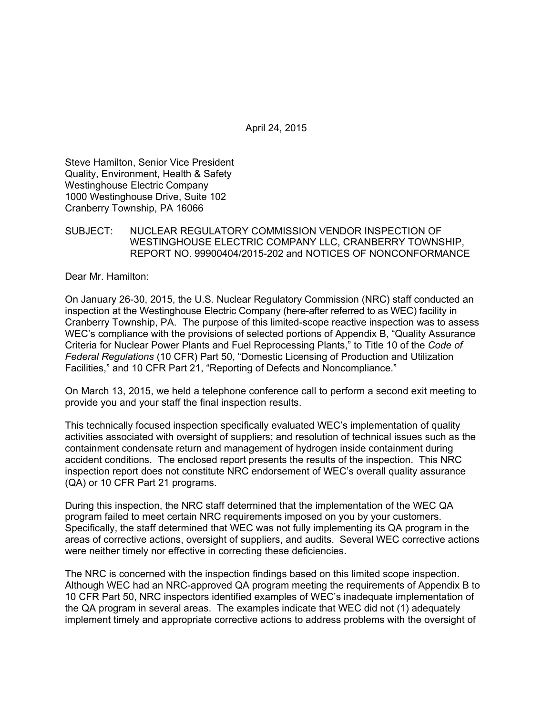Steve Hamilton, Senior Vice President Quality, Environment, Health & Safety Westinghouse Electric Company 1000 Westinghouse Drive, Suite 102 Cranberry Township, PA 16066

### SUBJECT: NUCLEAR REGULATORY COMMISSION VENDOR INSPECTION OF WESTINGHOUSE ELECTRIC COMPANY LLC, CRANBERRY TOWNSHIP, REPORT NO. 99900404/2015-202 and NOTICES OF NONCONFORMANCE

Dear Mr. Hamilton:

On January 26-30, 2015, the U.S. Nuclear Regulatory Commission (NRC) staff conducted an inspection at the Westinghouse Electric Company (here-after referred to as WEC) facility in Cranberry Township, PA. The purpose of this limited-scope reactive inspection was to assess WEC's compliance with the provisions of selected portions of Appendix B, "Quality Assurance Criteria for Nuclear Power Plants and Fuel Reprocessing Plants," to Title 10 of the *Code of Federal Regulations* (10 CFR) Part 50, "Domestic Licensing of Production and Utilization Facilities," and 10 CFR Part 21, "Reporting of Defects and Noncompliance."

On March 13, 2015, we held a telephone conference call to perform a second exit meeting to provide you and your staff the final inspection results.

This technically focused inspection specifically evaluated WEC's implementation of quality activities associated with oversight of suppliers; and resolution of technical issues such as the containment condensate return and management of hydrogen inside containment during accident conditions. The enclosed report presents the results of the inspection. This NRC inspection report does not constitute NRC endorsement of WEC's overall quality assurance (QA) or 10 CFR Part 21 programs.

During this inspection, the NRC staff determined that the implementation of the WEC QA program failed to meet certain NRC requirements imposed on you by your customers. Specifically, the staff determined that WEC was not fully implementing its QA program in the areas of corrective actions, oversight of suppliers, and audits. Several WEC corrective actions were neither timely nor effective in correcting these deficiencies.

The NRC is concerned with the inspection findings based on this limited scope inspection. Although WEC had an NRC-approved QA program meeting the requirements of Appendix B to 10 CFR Part 50, NRC inspectors identified examples of WEC's inadequate implementation of the QA program in several areas. The examples indicate that WEC did not (1) adequately implement timely and appropriate corrective actions to address problems with the oversight of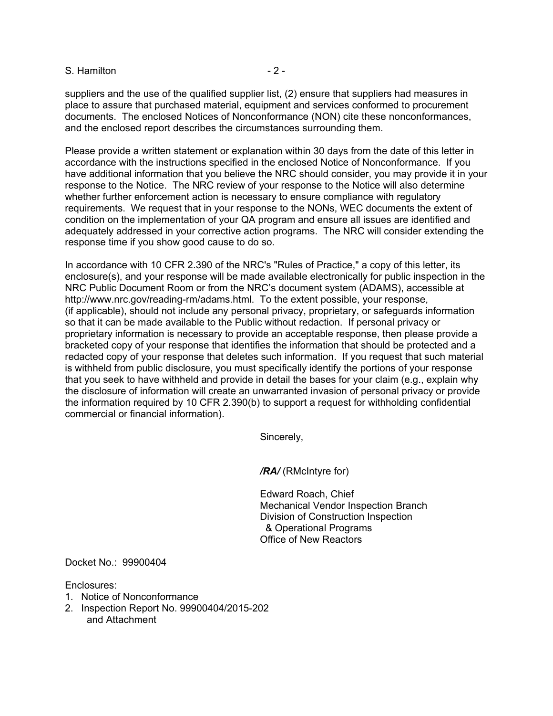#### S. Hamilton **- 2 -**

suppliers and the use of the qualified supplier list, (2) ensure that suppliers had measures in place to assure that purchased material, equipment and services conformed to procurement documents. The enclosed Notices of Nonconformance (NON) cite these nonconformances, and the enclosed report describes the circumstances surrounding them.

Please provide a written statement or explanation within 30 days from the date of this letter in accordance with the instructions specified in the enclosed Notice of Nonconformance. If you have additional information that you believe the NRC should consider, you may provide it in your response to the Notice. The NRC review of your response to the Notice will also determine whether further enforcement action is necessary to ensure compliance with regulatory requirements. We request that in your response to the NONs, WEC documents the extent of condition on the implementation of your QA program and ensure all issues are identified and adequately addressed in your corrective action programs. The NRC will consider extending the response time if you show good cause to do so.

In accordance with 10 CFR 2.390 of the NRC's "Rules of Practice," a copy of this letter, its enclosure(s), and your response will be made available electronically for public inspection in the NRC Public Document Room or from the NRC's document system (ADAMS), accessible at http://www.nrc.gov/reading-rm/adams.html. To the extent possible, your response, (if applicable), should not include any personal privacy, proprietary, or safeguards information so that it can be made available to the Public without redaction. If personal privacy or proprietary information is necessary to provide an acceptable response, then please provide a bracketed copy of your response that identifies the information that should be protected and a redacted copy of your response that deletes such information. If you request that such material is withheld from public disclosure, you must specifically identify the portions of your response that you seek to have withheld and provide in detail the bases for your claim (e.g., explain why the disclosure of information will create an unwarranted invasion of personal privacy or provide the information required by 10 CFR 2.390(b) to support a request for withholding confidential commercial or financial information).

Sincerely,

*/RA/* (RMcIntyre for)

Edward Roach, Chief Mechanical Vendor Inspection Branch Division of Construction Inspection & Operational Programs Office of New Reactors

Docket No.: 99900404

Enclosures:

- 1. Notice of Nonconformance
- 2. Inspection Report No. 99900404/2015-202 and Attachment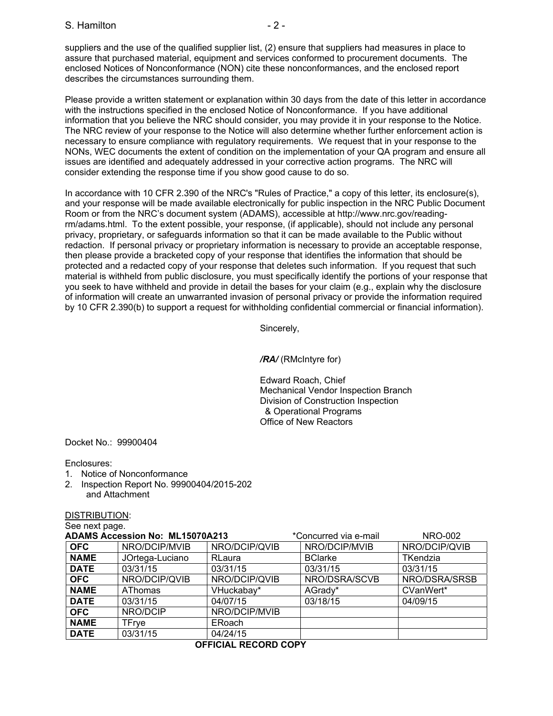suppliers and the use of the qualified supplier list, (2) ensure that suppliers had measures in place to assure that purchased material, equipment and services conformed to procurement documents. The enclosed Notices of Nonconformance (NON) cite these nonconformances, and the enclosed report describes the circumstances surrounding them.

Please provide a written statement or explanation within 30 days from the date of this letter in accordance with the instructions specified in the enclosed Notice of Nonconformance. If you have additional information that you believe the NRC should consider, you may provide it in your response to the Notice. The NRC review of your response to the Notice will also determine whether further enforcement action is necessary to ensure compliance with regulatory requirements. We request that in your response to the NONs, WEC documents the extent of condition on the implementation of your QA program and ensure all issues are identified and adequately addressed in your corrective action programs. The NRC will consider extending the response time if you show good cause to do so.

In accordance with 10 CFR 2.390 of the NRC's "Rules of Practice," a copy of this letter, its enclosure(s), and your response will be made available electronically for public inspection in the NRC Public Document Room or from the NRC's document system (ADAMS), accessible at http://www.nrc.gov/readingrm/adams.html. To the extent possible, your response, (if applicable), should not include any personal privacy, proprietary, or safeguards information so that it can be made available to the Public without redaction. If personal privacy or proprietary information is necessary to provide an acceptable response, then please provide a bracketed copy of your response that identifies the information that should be protected and a redacted copy of your response that deletes such information. If you request that such material is withheld from public disclosure, you must specifically identify the portions of your response that you seek to have withheld and provide in detail the bases for your claim (e.g., explain why the disclosure of information will create an unwarranted invasion of personal privacy or provide the information required by 10 CFR 2.390(b) to support a request for withholding confidential commercial or financial information).

Sincerely,

*/RA/* (RMcIntyre for)

Edward Roach, Chief Mechanical Vendor Inspection Branch Division of Construction Inspection & Operational Programs Office of New Reactors

Docket No.: 99900404

Enclosures:

- 1. Notice of Nonconformance
- 2. Inspection Report No. 99900404/2015-202 and Attachment

#### DISTRIBUTION:

See next page.

| <b>ADAMS Accession No: ML15070A213</b> |                 | *Concurred via e-mail | <b>NRO-002</b> |                 |
|----------------------------------------|-----------------|-----------------------|----------------|-----------------|
| <b>OFC</b>                             | NRO/DCIP/MVIB   | NRO/DCIP/QVIB         | NRO/DCIP/MVIB  | NRO/DCIP/QVIB   |
| <b>NAME</b>                            | JOrtega-Luciano | RLaura                | <b>BClarke</b> | <b>TKendzia</b> |
| <b>DATE</b>                            | 03/31/15        | 03/31/15              | 03/31/15       | 03/31/15        |
| <b>OFC</b>                             | NRO/DCIP/QVIB   | NRO/DCIP/QVIB         | NRO/DSRA/SCVB  | NRO/DSRA/SRSB   |
| <b>NAME</b>                            | AThomas         | VHuckabay*            | AGrady*        | CVanWert*       |
| <b>DATE</b>                            | 03/31/15        | 04/07/15              | 03/18/15       | 04/09/15        |
| <b>OFC</b>                             | NRO/DCIP        | NRO/DCIP/MVIB         |                |                 |
| <b>NAME</b>                            | TFrye           | ERoach                |                |                 |
| <b>DATE</b>                            | 03/31/15        | 04/24/15              |                |                 |

#### **OFFICIAL RECORD COPY**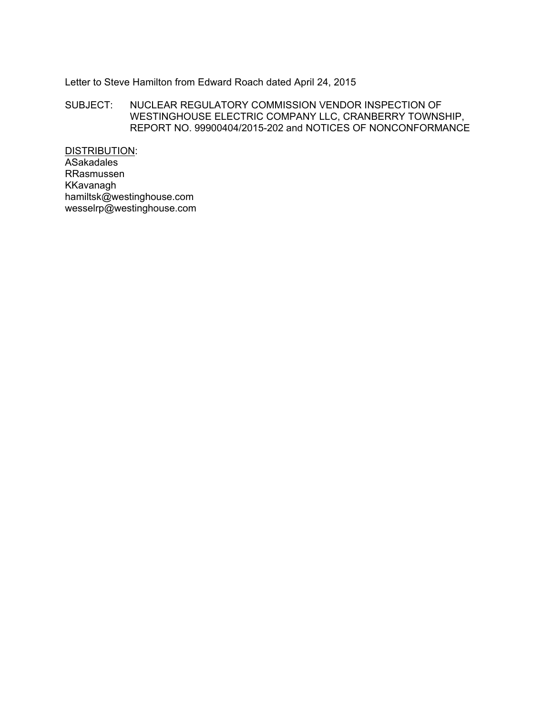# Letter to Steve Hamilton from Edward Roach dated April 24, 2015

### SUBJECT: NUCLEAR REGULATORY COMMISSION VENDOR INSPECTION OF WESTINGHOUSE ELECTRIC COMPANY LLC, CRANBERRY TOWNSHIP, REPORT NO. 99900404/2015-202 and NOTICES OF NONCONFORMANCE

DISTRIBUTION: ASakadales RRasmussen KKavanagh hamiltsk@westinghouse.com wesselrp@westinghouse.com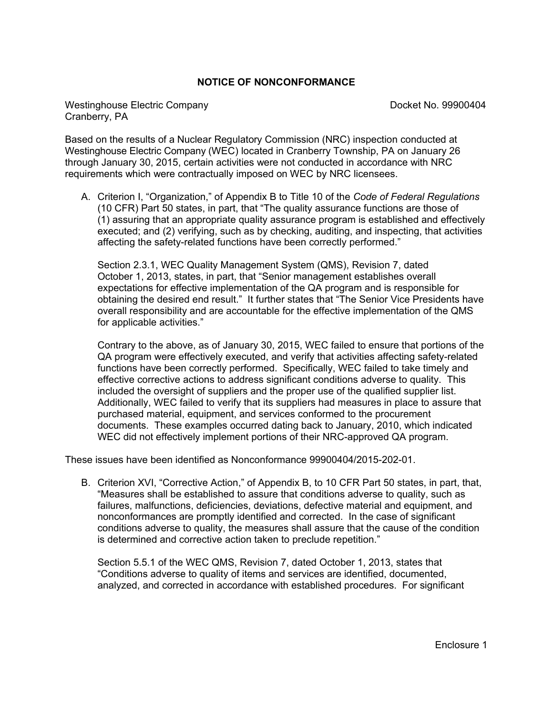### **NOTICE OF NONCONFORMANCE**

Westinghouse Electric Company Docket No. 99900404 Cranberry, PA

Based on the results of a Nuclear Regulatory Commission (NRC) inspection conducted at Westinghouse Electric Company (WEC) located in Cranberry Township, PA on January 26 through January 30, 2015, certain activities were not conducted in accordance with NRC requirements which were contractually imposed on WEC by NRC licensees.

A. Criterion I, "Organization," of Appendix B to Title 10 of the *Code of Federal Regulations* (10 CFR) Part 50 states, in part, that "The quality assurance functions are those of (1) assuring that an appropriate quality assurance program is established and effectively executed; and (2) verifying, such as by checking, auditing, and inspecting, that activities affecting the safety-related functions have been correctly performed."

Section 2.3.1, WEC Quality Management System (QMS), Revision 7, dated October 1, 2013, states, in part, that "Senior management establishes overall expectations for effective implementation of the QA program and is responsible for obtaining the desired end result." It further states that "The Senior Vice Presidents have overall responsibility and are accountable for the effective implementation of the QMS for applicable activities."

Contrary to the above, as of January 30, 2015, WEC failed to ensure that portions of the QA program were effectively executed, and verify that activities affecting safety-related functions have been correctly performed. Specifically, WEC failed to take timely and effective corrective actions to address significant conditions adverse to quality. This included the oversight of suppliers and the proper use of the qualified supplier list. Additionally, WEC failed to verify that its suppliers had measures in place to assure that purchased material, equipment, and services conformed to the procurement documents. These examples occurred dating back to January, 2010, which indicated WEC did not effectively implement portions of their NRC-approved QA program.

These issues have been identified as Nonconformance 99900404/2015-202-01.

B. Criterion XVI, "Corrective Action," of Appendix B, to 10 CFR Part 50 states, in part, that, "Measures shall be established to assure that conditions adverse to quality, such as failures, malfunctions, deficiencies, deviations, defective material and equipment, and nonconformances are promptly identified and corrected. In the case of significant conditions adverse to quality, the measures shall assure that the cause of the condition is determined and corrective action taken to preclude repetition."

Section 5.5.1 of the WEC QMS, Revision 7, dated October 1, 2013, states that "Conditions adverse to quality of items and services are identified, documented, analyzed, and corrected in accordance with established procedures. For significant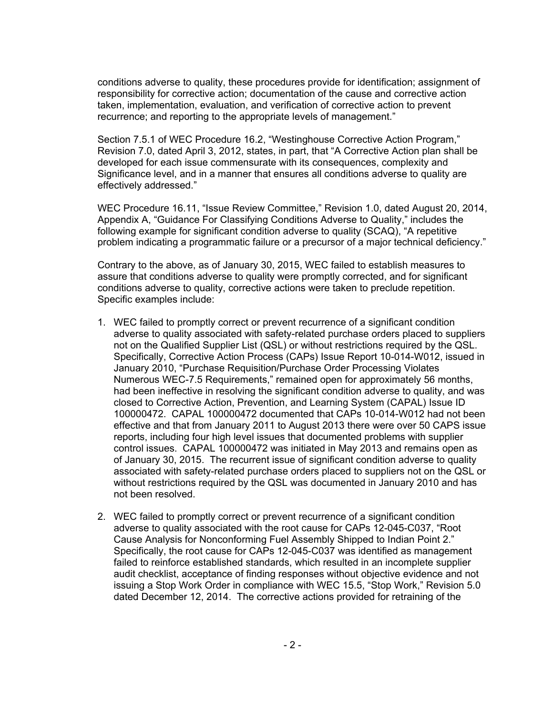conditions adverse to quality, these procedures provide for identification; assignment of responsibility for corrective action; documentation of the cause and corrective action taken, implementation, evaluation, and verification of corrective action to prevent recurrence; and reporting to the appropriate levels of management."

Section 7.5.1 of WEC Procedure 16.2, "Westinghouse Corrective Action Program," Revision 7.0, dated April 3, 2012, states, in part, that "A Corrective Action plan shall be developed for each issue commensurate with its consequences, complexity and Significance level, and in a manner that ensures all conditions adverse to quality are effectively addressed."

WEC Procedure 16.11, "Issue Review Committee," Revision 1.0, dated August 20, 2014, Appendix A, "Guidance For Classifying Conditions Adverse to Quality," includes the following example for significant condition adverse to quality (SCAQ), "A repetitive problem indicating a programmatic failure or a precursor of a major technical deficiency."

Contrary to the above, as of January 30, 2015, WEC failed to establish measures to assure that conditions adverse to quality were promptly corrected, and for significant conditions adverse to quality, corrective actions were taken to preclude repetition. Specific examples include:

- 1. WEC failed to promptly correct or prevent recurrence of a significant condition adverse to quality associated with safety-related purchase orders placed to suppliers not on the Qualified Supplier List (QSL) or without restrictions required by the QSL. Specifically, Corrective Action Process (CAPs) Issue Report 10-014-W012, issued in January 2010, "Purchase Requisition/Purchase Order Processing Violates Numerous WEC-7.5 Requirements," remained open for approximately 56 months, had been ineffective in resolving the significant condition adverse to quality, and was closed to Corrective Action, Prevention, and Learning System (CAPAL) Issue ID 100000472. CAPAL 100000472 documented that CAPs 10-014-W012 had not been effective and that from January 2011 to August 2013 there were over 50 CAPS issue reports, including four high level issues that documented problems with supplier control issues. CAPAL 100000472 was initiated in May 2013 and remains open as of January 30, 2015. The recurrent issue of significant condition adverse to quality associated with safety-related purchase orders placed to suppliers not on the QSL or without restrictions required by the QSL was documented in January 2010 and has not been resolved.
- 2. WEC failed to promptly correct or prevent recurrence of a significant condition adverse to quality associated with the root cause for CAPs 12-045-C037, "Root Cause Analysis for Nonconforming Fuel Assembly Shipped to Indian Point 2." Specifically, the root cause for CAPs 12-045-C037 was identified as management failed to reinforce established standards, which resulted in an incomplete supplier audit checklist, acceptance of finding responses without objective evidence and not issuing a Stop Work Order in compliance with WEC 15.5, "Stop Work," Revision 5.0 dated December 12, 2014. The corrective actions provided for retraining of the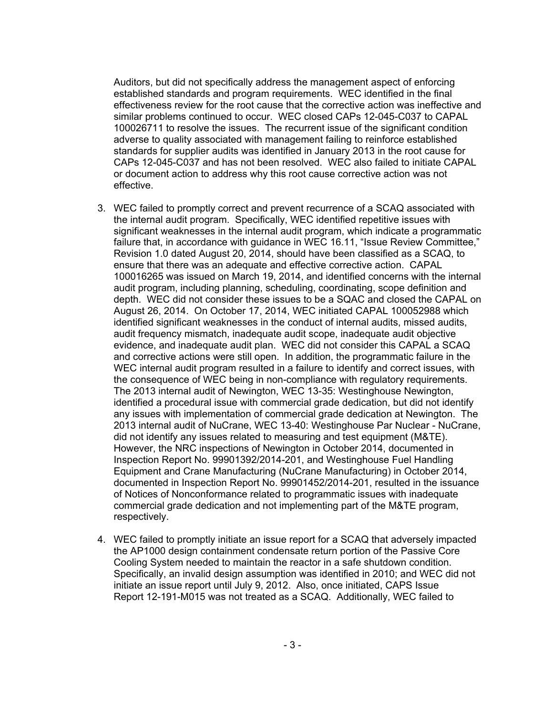Auditors, but did not specifically address the management aspect of enforcing established standards and program requirements. WEC identified in the final effectiveness review for the root cause that the corrective action was ineffective and similar problems continued to occur. WEC closed CAPs 12-045-C037 to CAPAL 100026711 to resolve the issues. The recurrent issue of the significant condition adverse to quality associated with management failing to reinforce established standards for supplier audits was identified in January 2013 in the root cause for CAPs 12-045-C037 and has not been resolved. WEC also failed to initiate CAPAL or document action to address why this root cause corrective action was not effective.

- 3. WEC failed to promptly correct and prevent recurrence of a SCAQ associated with the internal audit program. Specifically, WEC identified repetitive issues with significant weaknesses in the internal audit program, which indicate a programmatic failure that, in accordance with guidance in WEC 16.11, "Issue Review Committee," Revision 1.0 dated August 20, 2014, should have been classified as a SCAQ, to ensure that there was an adequate and effective corrective action. CAPAL 100016265 was issued on March 19, 2014, and identified concerns with the internal audit program, including planning, scheduling, coordinating, scope definition and depth. WEC did not consider these issues to be a SQAC and closed the CAPAL on August 26, 2014. On October 17, 2014, WEC initiated CAPAL 100052988 which identified significant weaknesses in the conduct of internal audits, missed audits, audit frequency mismatch, inadequate audit scope, inadequate audit objective evidence, and inadequate audit plan. WEC did not consider this CAPAL a SCAQ and corrective actions were still open. In addition, the programmatic failure in the WEC internal audit program resulted in a failure to identify and correct issues, with the consequence of WEC being in non-compliance with regulatory requirements. The 2013 internal audit of Newington, WEC 13-35: Westinghouse Newington, identified a procedural issue with commercial grade dedication, but did not identify any issues with implementation of commercial grade dedication at Newington. The 2013 internal audit of NuCrane, WEC 13-40: Westinghouse Par Nuclear - NuCrane, did not identify any issues related to measuring and test equipment (M&TE). However, the NRC inspections of Newington in October 2014, documented in Inspection Report No. 99901392/2014-201, and Westinghouse Fuel Handling Equipment and Crane Manufacturing (NuCrane Manufacturing) in October 2014, documented in Inspection Report No. 99901452/2014-201, resulted in the issuance of Notices of Nonconformance related to programmatic issues with inadequate commercial grade dedication and not implementing part of the M&TE program, respectively.
- 4. WEC failed to promptly initiate an issue report for a SCAQ that adversely impacted the AP1000 design containment condensate return portion of the Passive Core Cooling System needed to maintain the reactor in a safe shutdown condition. Specifically, an invalid design assumption was identified in 2010; and WEC did not initiate an issue report until July 9, 2012. Also, once initiated, CAPS Issue Report 12-191-M015 was not treated as a SCAQ. Additionally, WEC failed to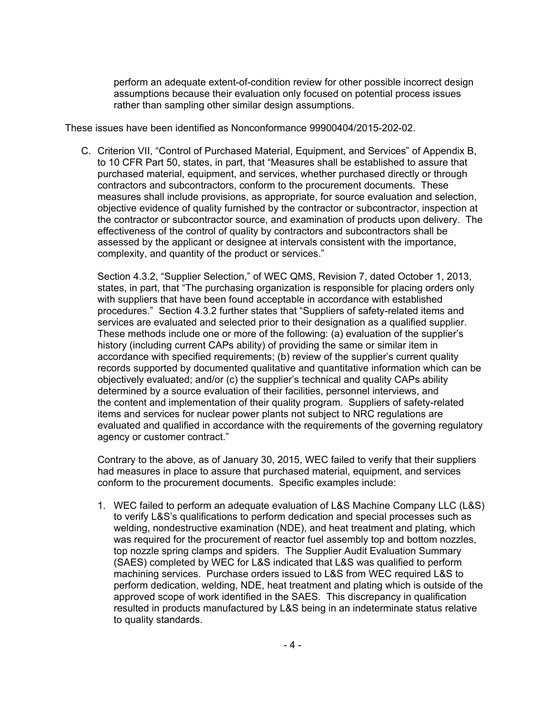perform an adequate extent-of-condition review for other possible incorrect design assumptions because their evaluation only focused on potential process issues rather than sampling other similar design assumptions.

These issues have been identified as Nonconformance 99900404/2015-202-02.

C. Criterion VII, "Control of Purchased Material, Equipment, and Services" of Appendix B, to 10 CFR Part 50, states, in part, that "Measures shall be established to assure that purchased material, equipment, and services, whether purchased directly or through contractors and subcontractors, conform to the procurement documents. These measures shall include provisions, as appropriate, for source evaluation and selection, objective evidence of quality furnished by the contractor or subcontractor, inspection at the contractor or subcontractor source, and examination of products upon delivery. The effectiveness of the control of quality by contractors and subcontractors shall be assessed by the applicant or designee at intervals consistent with the importance, complexity, and quantity of the product or services."

Section 4.3.2, "Supplier Selection," of WEC QMS, Revision 7, dated October 1, 2013, states, in part, that "The purchasing organization is responsible for placing orders only with suppliers that have been found acceptable in accordance with established procedures." Section 4.3.2 further states that "Suppliers of safety-related items and services are evaluated and selected prior to their designation as a qualified supplier. These methods include one or more of the following: (a) evaluation of the supplier's history (including current CAPs ability) of providing the same or similar item in accordance with specified requirements; (b) review of the supplier's current quality records supported by documented qualitative and quantitative information which can be objectively evaluated; and/or (c) the supplier's technical and quality CAPs ability determined by a source evaluation of their facilities, personnel interviews, and the content and implementation of their quality program. Suppliers of safety-related items and services for nuclear power plants not subject to NRC regulations are evaluated and qualified in accordance with the requirements of the governing regulatory agency or customer contract."

Contrary to the above, as of January 30, 2015, WEC failed to verify that their suppliers had measures in place to assure that purchased material, equipment, and services conform to the procurement documents. Specific examples include:

1. WEC failed to perform an adequate evaluation of L&S Machine Company LLC (L&S) to verify L&S's qualifications to perform dedication and special processes such as welding, nondestructive examination (NDE), and heat treatment and plating, which was required for the procurement of reactor fuel assembly top and bottom nozzles, top nozzle spring clamps and spiders. The Supplier Audit Evaluation Summary (SAES) completed by WEC for L&S indicated that L&S was qualified to perform machining services. Purchase orders issued to L&S from WEC required L&S to perform dedication, welding, NDE, heat treatment and plating which is outside of the approved scope of work identified in the SAES. This discrepancy in qualification resulted in products manufactured by L&S being in an indeterminate status relative to quality standards.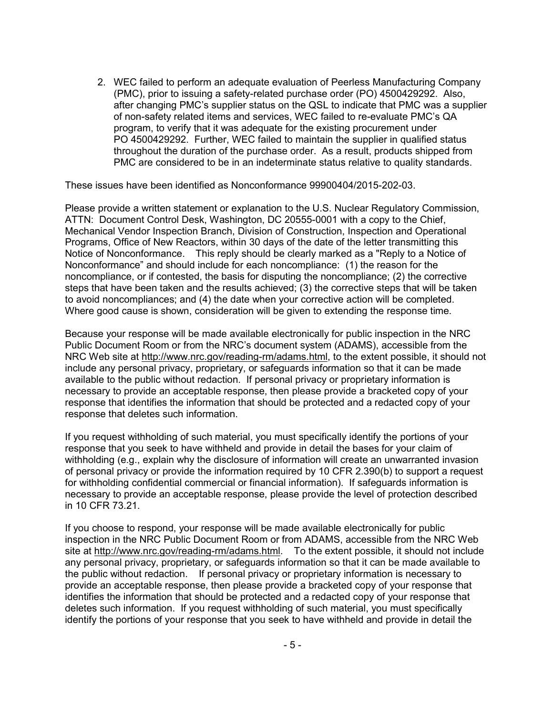2. WEC failed to perform an adequate evaluation of Peerless Manufacturing Company (PMC), prior to issuing a safety-related purchase order (PO) 4500429292. Also, after changing PMC's supplier status on the QSL to indicate that PMC was a supplier of non-safety related items and services, WEC failed to re-evaluate PMC's QA program, to verify that it was adequate for the existing procurement under PO 4500429292. Further, WEC failed to maintain the supplier in qualified status throughout the duration of the purchase order. As a result, products shipped from PMC are considered to be in an indeterminate status relative to quality standards.

These issues have been identified as Nonconformance 99900404/2015-202-03.

Please provide a written statement or explanation to the U.S. Nuclear Regulatory Commission, ATTN: Document Control Desk, Washington, DC 20555-0001 with a copy to the Chief, Mechanical Vendor Inspection Branch, Division of Construction, Inspection and Operational Programs, Office of New Reactors, within 30 days of the date of the letter transmitting this Notice of Nonconformance. This reply should be clearly marked as a "Reply to a Notice of Nonconformance" and should include for each noncompliance: (1) the reason for the noncompliance, or if contested, the basis for disputing the noncompliance; (2) the corrective steps that have been taken and the results achieved; (3) the corrective steps that will be taken to avoid noncompliances; and (4) the date when your corrective action will be completed. Where good cause is shown, consideration will be given to extending the response time.

Because your response will be made available electronically for public inspection in the NRC Public Document Room or from the NRC's document system (ADAMS), accessible from the NRC Web site at http://www.nrc.gov/reading-rm/adams.html, to the extent possible, it should not include any personal privacy, proprietary, or safeguards information so that it can be made available to the public without redaction. If personal privacy or proprietary information is necessary to provide an acceptable response, then please provide a bracketed copy of your response that identifies the information that should be protected and a redacted copy of your response that deletes such information.

If you request withholding of such material, you must specifically identify the portions of your response that you seek to have withheld and provide in detail the bases for your claim of withholding (e.g., explain why the disclosure of information will create an unwarranted invasion of personal privacy or provide the information required by 10 CFR 2.390(b) to support a request for withholding confidential commercial or financial information). If safeguards information is necessary to provide an acceptable response, please provide the level of protection described in 10 CFR 73.21.

If you choose to respond, your response will be made available electronically for public inspection in the NRC Public Document Room or from ADAMS, accessible from the NRC Web site at http://www.nrc.gov/reading-rm/adams.html. To the extent possible, it should not include any personal privacy, proprietary, or safeguards information so that it can be made available to the public without redaction. If personal privacy or proprietary information is necessary to provide an acceptable response, then please provide a bracketed copy of your response that identifies the information that should be protected and a redacted copy of your response that deletes such information. If you request withholding of such material, you must specifically identify the portions of your response that you seek to have withheld and provide in detail the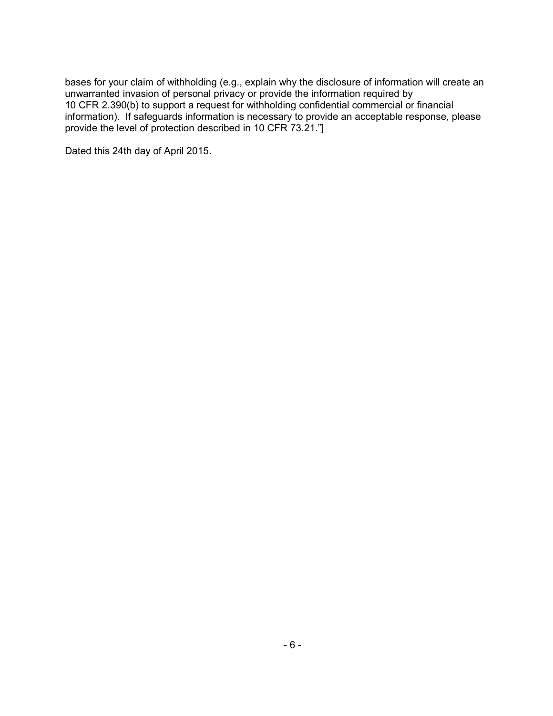bases for your claim of withholding (e.g., explain why the disclosure of information will create an unwarranted invasion of personal privacy or provide the information required by 10 CFR 2.390(b) to support a request for withholding confidential commercial or financial information). If safeguards information is necessary to provide an acceptable response, please provide the level of protection described in 10 CFR 73.21."]

Dated this 24th day of April 2015.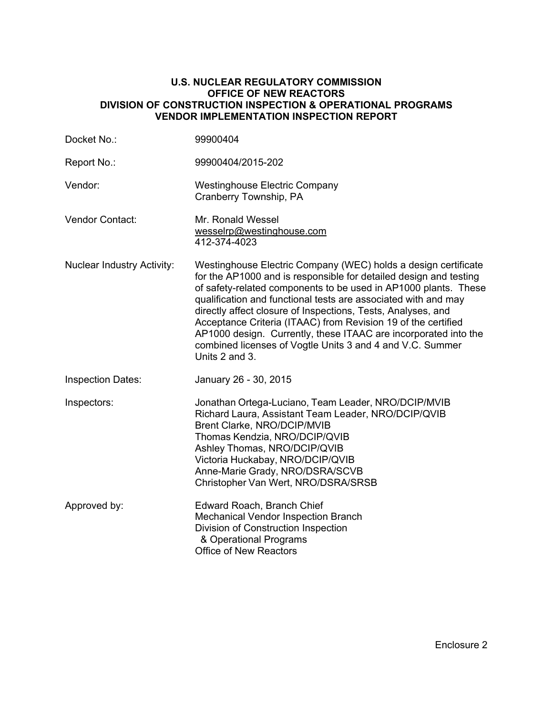### **U.S. NUCLEAR REGULATORY COMMISSION OFFICE OF NEW REACTORS DIVISION OF CONSTRUCTION INSPECTION & OPERATIONAL PROGRAMS VENDOR IMPLEMENTATION INSPECTION REPORT**

| Docket No.:                       | 99900404                                                                                                                                                                                                                                                                                                                                                                                                                                                                                                                                                    |
|-----------------------------------|-------------------------------------------------------------------------------------------------------------------------------------------------------------------------------------------------------------------------------------------------------------------------------------------------------------------------------------------------------------------------------------------------------------------------------------------------------------------------------------------------------------------------------------------------------------|
| Report No.:                       | 99900404/2015-202                                                                                                                                                                                                                                                                                                                                                                                                                                                                                                                                           |
| Vendor:                           | <b>Westinghouse Electric Company</b><br>Cranberry Township, PA                                                                                                                                                                                                                                                                                                                                                                                                                                                                                              |
| Vendor Contact:                   | Mr. Ronald Wessel<br>wesselrp@westinghouse.com<br>412-374-4023                                                                                                                                                                                                                                                                                                                                                                                                                                                                                              |
| <b>Nuclear Industry Activity:</b> | Westinghouse Electric Company (WEC) holds a design certificate<br>for the AP1000 and is responsible for detailed design and testing<br>of safety-related components to be used in AP1000 plants. These<br>qualification and functional tests are associated with and may<br>directly affect closure of Inspections, Tests, Analyses, and<br>Acceptance Criteria (ITAAC) from Revision 19 of the certified<br>AP1000 design. Currently, these ITAAC are incorporated into the<br>combined licenses of Vogtle Units 3 and 4 and V.C. Summer<br>Units 2 and 3. |
| <b>Inspection Dates:</b>          | January 26 - 30, 2015                                                                                                                                                                                                                                                                                                                                                                                                                                                                                                                                       |
| Inspectors:                       | Jonathan Ortega-Luciano, Team Leader, NRO/DCIP/MVIB<br>Richard Laura, Assistant Team Leader, NRO/DCIP/QVIB<br>Brent Clarke, NRO/DCIP/MVIB<br>Thomas Kendzia, NRO/DCIP/QVIB<br>Ashley Thomas, NRO/DCIP/QVIB<br>Victoria Huckabay, NRO/DCIP/QVIB<br>Anne-Marie Grady, NRO/DSRA/SCVB<br>Christopher Van Wert, NRO/DSRA/SRSB                                                                                                                                                                                                                                    |
| Approved by:                      | Edward Roach, Branch Chief<br><b>Mechanical Vendor Inspection Branch</b><br>Division of Construction Inspection<br>& Operational Programs<br><b>Office of New Reactors</b>                                                                                                                                                                                                                                                                                                                                                                                  |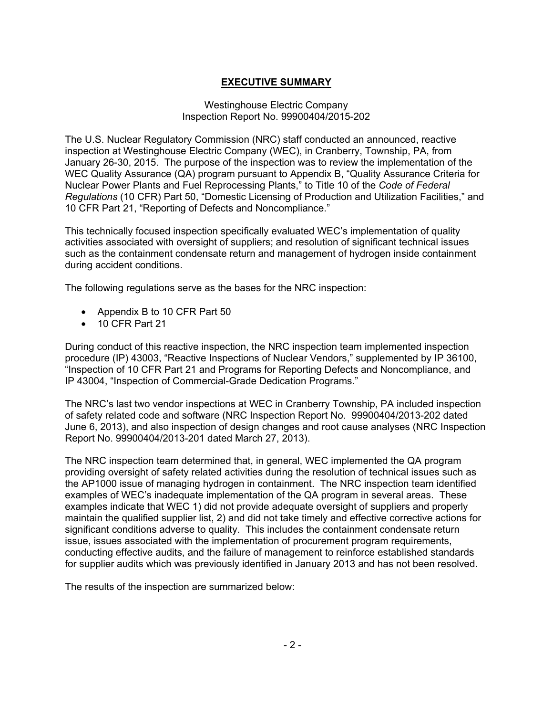# **EXECUTIVE SUMMARY**

### Westinghouse Electric Company Inspection Report No. 99900404/2015-202

The U.S. Nuclear Regulatory Commission (NRC) staff conducted an announced, reactive inspection at Westinghouse Electric Company (WEC), in Cranberry, Township, PA, from January 26-30, 2015. The purpose of the inspection was to review the implementation of the WEC Quality Assurance (QA) program pursuant to Appendix B, "Quality Assurance Criteria for Nuclear Power Plants and Fuel Reprocessing Plants," to Title 10 of the *Code of Federal Regulations* (10 CFR) Part 50, "Domestic Licensing of Production and Utilization Facilities," and 10 CFR Part 21, "Reporting of Defects and Noncompliance."

This technically focused inspection specifically evaluated WEC's implementation of quality activities associated with oversight of suppliers; and resolution of significant technical issues such as the containment condensate return and management of hydrogen inside containment during accident conditions.

The following regulations serve as the bases for the NRC inspection:

- Appendix B to 10 CFR Part 50
- 10 CFR Part 21

During conduct of this reactive inspection, the NRC inspection team implemented inspection procedure (IP) 43003, "Reactive Inspections of Nuclear Vendors," supplemented by IP 36100, "Inspection of 10 CFR Part 21 and Programs for Reporting Defects and Noncompliance, and IP 43004, "Inspection of Commercial-Grade Dedication Programs."

The NRC's last two vendor inspections at WEC in Cranberry Township, PA included inspection of safety related code and software (NRC Inspection Report No. 99900404/2013-202 dated June 6, 2013), and also inspection of design changes and root cause analyses (NRC Inspection Report No. 99900404/2013-201 dated March 27, 2013).

The NRC inspection team determined that, in general, WEC implemented the QA program providing oversight of safety related activities during the resolution of technical issues such as the AP1000 issue of managing hydrogen in containment. The NRC inspection team identified examples of WEC's inadequate implementation of the QA program in several areas. These examples indicate that WEC 1) did not provide adequate oversight of suppliers and properly maintain the qualified supplier list, 2) and did not take timely and effective corrective actions for significant conditions adverse to quality. This includes the containment condensate return issue, issues associated with the implementation of procurement program requirements, conducting effective audits, and the failure of management to reinforce established standards for supplier audits which was previously identified in January 2013 and has not been resolved.

The results of the inspection are summarized below: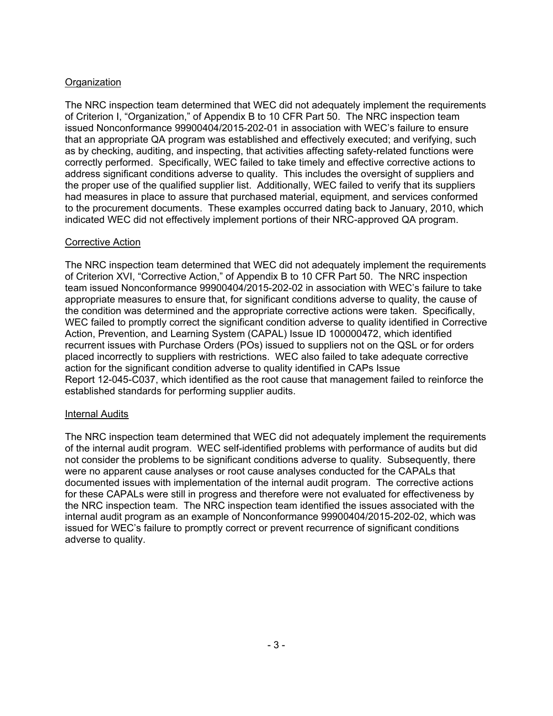# **Organization**

The NRC inspection team determined that WEC did not adequately implement the requirements of Criterion I, "Organization," of Appendix B to 10 CFR Part 50. The NRC inspection team issued Nonconformance 99900404/2015-202-01 in association with WEC's failure to ensure that an appropriate QA program was established and effectively executed; and verifying, such as by checking, auditing, and inspecting, that activities affecting safety-related functions were correctly performed. Specifically, WEC failed to take timely and effective corrective actions to address significant conditions adverse to quality. This includes the oversight of suppliers and the proper use of the qualified supplier list. Additionally, WEC failed to verify that its suppliers had measures in place to assure that purchased material, equipment, and services conformed to the procurement documents. These examples occurred dating back to January, 2010, which indicated WEC did not effectively implement portions of their NRC-approved QA program.

# **Corrective Action**

The NRC inspection team determined that WEC did not adequately implement the requirements of Criterion XVI, "Corrective Action," of Appendix B to 10 CFR Part 50. The NRC inspection team issued Nonconformance 99900404/2015-202-02 in association with WEC's failure to take appropriate measures to ensure that, for significant conditions adverse to quality, the cause of the condition was determined and the appropriate corrective actions were taken. Specifically, WEC failed to promptly correct the significant condition adverse to quality identified in Corrective Action, Prevention, and Learning System (CAPAL) Issue ID 100000472, which identified recurrent issues with Purchase Orders (POs) issued to suppliers not on the QSL or for orders placed incorrectly to suppliers with restrictions. WEC also failed to take adequate corrective action for the significant condition adverse to quality identified in CAPs Issue Report 12-045-C037, which identified as the root cause that management failed to reinforce the established standards for performing supplier audits.

## Internal Audits

The NRC inspection team determined that WEC did not adequately implement the requirements of the internal audit program. WEC self-identified problems with performance of audits but did not consider the problems to be significant conditions adverse to quality. Subsequently, there were no apparent cause analyses or root cause analyses conducted for the CAPALs that documented issues with implementation of the internal audit program. The corrective actions for these CAPALs were still in progress and therefore were not evaluated for effectiveness by the NRC inspection team. The NRC inspection team identified the issues associated with the internal audit program as an example of Nonconformance 99900404/2015-202-02, which was issued for WEC's failure to promptly correct or prevent recurrence of significant conditions adverse to quality.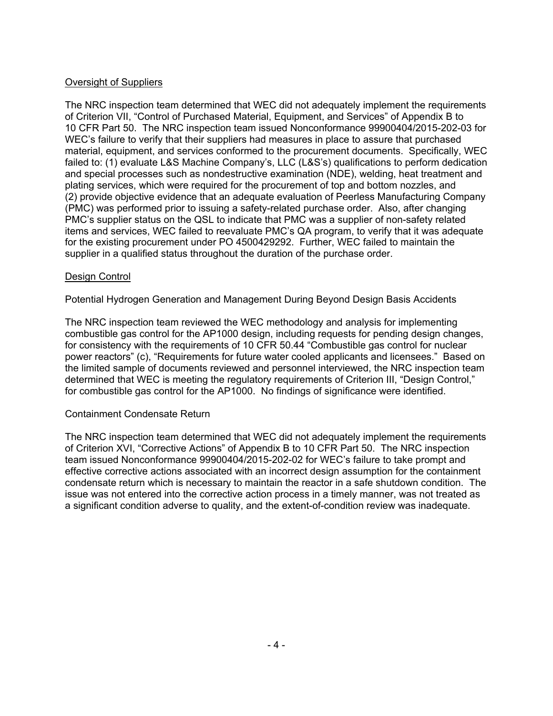# Oversight of Suppliers

The NRC inspection team determined that WEC did not adequately implement the requirements of Criterion VII, "Control of Purchased Material, Equipment, and Services" of Appendix B to 10 CFR Part 50. The NRC inspection team issued Nonconformance 99900404/2015-202-03 for WEC's failure to verify that their suppliers had measures in place to assure that purchased material, equipment, and services conformed to the procurement documents. Specifically, WEC failed to: (1) evaluate L&S Machine Company's, LLC (L&S's) qualifications to perform dedication and special processes such as nondestructive examination (NDE), welding, heat treatment and plating services, which were required for the procurement of top and bottom nozzles, and (2) provide objective evidence that an adequate evaluation of Peerless Manufacturing Company (PMC) was performed prior to issuing a safety-related purchase order. Also, after changing PMC's supplier status on the QSL to indicate that PMC was a supplier of non-safety related items and services, WEC failed to reevaluate PMC's QA program, to verify that it was adequate for the existing procurement under PO 4500429292. Further, WEC failed to maintain the supplier in a qualified status throughout the duration of the purchase order.

## Design Control

Potential Hydrogen Generation and Management During Beyond Design Basis Accidents

The NRC inspection team reviewed the WEC methodology and analysis for implementing combustible gas control for the AP1000 design, including requests for pending design changes, for consistency with the requirements of 10 CFR 50.44 "Combustible gas control for nuclear power reactors" (c), "Requirements for future water cooled applicants and licensees." Based on the limited sample of documents reviewed and personnel interviewed, the NRC inspection team determined that WEC is meeting the regulatory requirements of Criterion III, "Design Control," for combustible gas control for the AP1000. No findings of significance were identified.

# Containment Condensate Return

The NRC inspection team determined that WEC did not adequately implement the requirements of Criterion XVI, "Corrective Actions" of Appendix B to 10 CFR Part 50. The NRC inspection team issued Nonconformance 99900404/2015-202-02 for WEC's failure to take prompt and effective corrective actions associated with an incorrect design assumption for the containment condensate return which is necessary to maintain the reactor in a safe shutdown condition. The issue was not entered into the corrective action process in a timely manner, was not treated as a significant condition adverse to quality, and the extent-of-condition review was inadequate.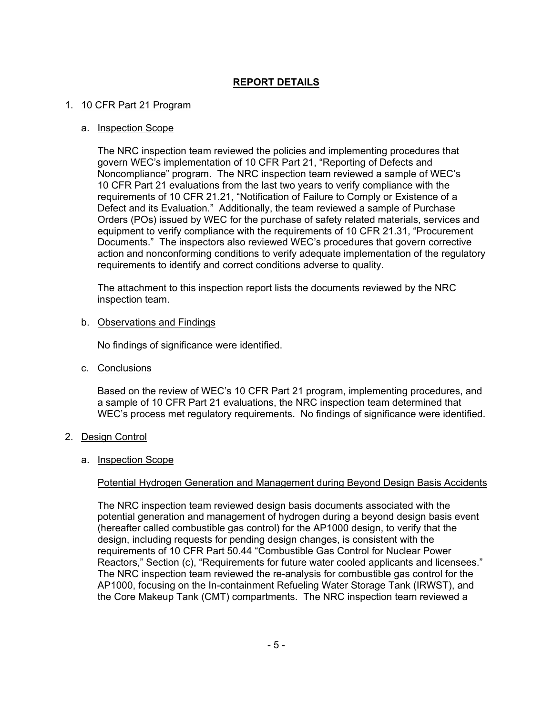# **REPORT DETAILS**

## 1. 10 CFR Part 21 Program

### a. Inspection Scope

The NRC inspection team reviewed the policies and implementing procedures that govern WEC's implementation of 10 CFR Part 21, "Reporting of Defects and Noncompliance" program. The NRC inspection team reviewed a sample of WEC's 10 CFR Part 21 evaluations from the last two years to verify compliance with the requirements of 10 CFR 21.21, "Notification of Failure to Comply or Existence of a Defect and its Evaluation." Additionally, the team reviewed a sample of Purchase Orders (POs) issued by WEC for the purchase of safety related materials, services and equipment to verify compliance with the requirements of 10 CFR 21.31, "Procurement Documents." The inspectors also reviewed WEC's procedures that govern corrective action and nonconforming conditions to verify adequate implementation of the regulatory requirements to identify and correct conditions adverse to quality.

The attachment to this inspection report lists the documents reviewed by the NRC inspection team.

### b. Observations and Findings

No findings of significance were identified.

c. Conclusions

Based on the review of WEC's 10 CFR Part 21 program, implementing procedures, and a sample of 10 CFR Part 21 evaluations, the NRC inspection team determined that WEC's process met regulatory requirements. No findings of significance were identified.

2. Design Control

### a. Inspection Scope

### Potential Hydrogen Generation and Management during Beyond Design Basis Accidents

The NRC inspection team reviewed design basis documents associated with the potential generation and management of hydrogen during a beyond design basis event (hereafter called combustible gas control) for the AP1000 design, to verify that the design, including requests for pending design changes, is consistent with the requirements of 10 CFR Part 50.44 "Combustible Gas Control for Nuclear Power Reactors," Section (c), "Requirements for future water cooled applicants and licensees." The NRC inspection team reviewed the re-analysis for combustible gas control for the AP1000, focusing on the In-containment Refueling Water Storage Tank (IRWST), and the Core Makeup Tank (CMT) compartments. The NRC inspection team reviewed a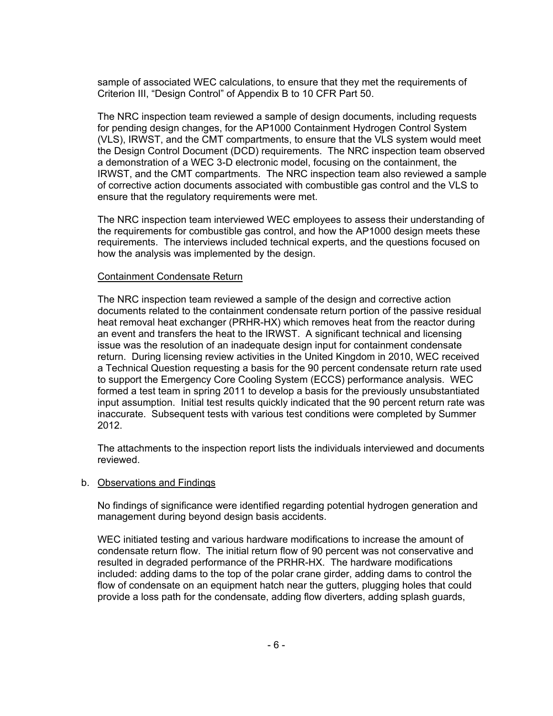sample of associated WEC calculations, to ensure that they met the requirements of Criterion III, "Design Control" of Appendix B to 10 CFR Part 50.

The NRC inspection team reviewed a sample of design documents, including requests for pending design changes, for the AP1000 Containment Hydrogen Control System (VLS), IRWST, and the CMT compartments, to ensure that the VLS system would meet the Design Control Document (DCD) requirements. The NRC inspection team observed a demonstration of a WEC 3-D electronic model, focusing on the containment, the IRWST, and the CMT compartments. The NRC inspection team also reviewed a sample of corrective action documents associated with combustible gas control and the VLS to ensure that the regulatory requirements were met.

The NRC inspection team interviewed WEC employees to assess their understanding of the requirements for combustible gas control, and how the AP1000 design meets these requirements. The interviews included technical experts, and the questions focused on how the analysis was implemented by the design.

#### Containment Condensate Return

The NRC inspection team reviewed a sample of the design and corrective action documents related to the containment condensate return portion of the passive residual heat removal heat exchanger (PRHR-HX) which removes heat from the reactor during an event and transfers the heat to the IRWST. A significant technical and licensing issue was the resolution of an inadequate design input for containment condensate return. During licensing review activities in the United Kingdom in 2010, WEC received a Technical Question requesting a basis for the 90 percent condensate return rate used to support the Emergency Core Cooling System (ECCS) performance analysis. WEC formed a test team in spring 2011 to develop a basis for the previously unsubstantiated input assumption. Initial test results quickly indicated that the 90 percent return rate was inaccurate. Subsequent tests with various test conditions were completed by Summer 2012.

The attachments to the inspection report lists the individuals interviewed and documents reviewed.

#### b. Observations and Findings

No findings of significance were identified regarding potential hydrogen generation and management during beyond design basis accidents.

WEC initiated testing and various hardware modifications to increase the amount of condensate return flow. The initial return flow of 90 percent was not conservative and resulted in degraded performance of the PRHR-HX. The hardware modifications included: adding dams to the top of the polar crane girder, adding dams to control the flow of condensate on an equipment hatch near the gutters, plugging holes that could provide a loss path for the condensate, adding flow diverters, adding splash guards,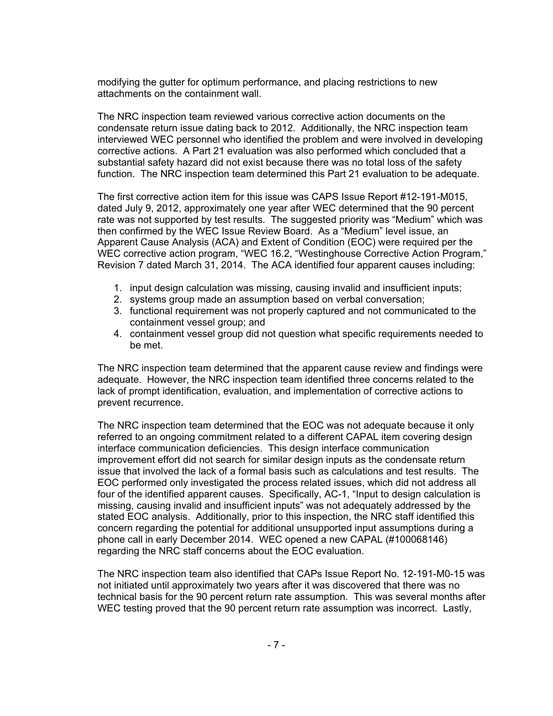modifying the gutter for optimum performance, and placing restrictions to new attachments on the containment wall.

The NRC inspection team reviewed various corrective action documents on the condensate return issue dating back to 2012. Additionally, the NRC inspection team interviewed WEC personnel who identified the problem and were involved in developing corrective actions. A Part 21 evaluation was also performed which concluded that a substantial safety hazard did not exist because there was no total loss of the safety function. The NRC inspection team determined this Part 21 evaluation to be adequate.

The first corrective action item for this issue was CAPS Issue Report #12-191-M015, dated July 9, 2012, approximately one year after WEC determined that the 90 percent rate was not supported by test results. The suggested priority was "Medium" which was then confirmed by the WEC Issue Review Board. As a "Medium" level issue, an Apparent Cause Analysis (ACA) and Extent of Condition (EOC) were required per the WEC corrective action program, "WEC 16.2, "Westinghouse Corrective Action Program," Revision 7 dated March 31, 2014. The ACA identified four apparent causes including:

- 1. input design calculation was missing, causing invalid and insufficient inputs;
- 2. systems group made an assumption based on verbal conversation;
- 3. functional requirement was not properly captured and not communicated to the containment vessel group; and
- 4. containment vessel group did not question what specific requirements needed to be met.

The NRC inspection team determined that the apparent cause review and findings were adequate. However, the NRC inspection team identified three concerns related to the lack of prompt identification, evaluation, and implementation of corrective actions to prevent recurrence.

The NRC inspection team determined that the EOC was not adequate because it only referred to an ongoing commitment related to a different CAPAL item covering design interface communication deficiencies. This design interface communication improvement effort did not search for similar design inputs as the condensate return issue that involved the lack of a formal basis such as calculations and test results. The EOC performed only investigated the process related issues, which did not address all four of the identified apparent causes. Specifically, AC-1, "Input to design calculation is missing, causing invalid and insufficient inputs" was not adequately addressed by the stated EOC analysis. Additionally, prior to this inspection, the NRC staff identified this concern regarding the potential for additional unsupported input assumptions during a phone call in early December 2014. WEC opened a new CAPAL (#100068146) regarding the NRC staff concerns about the EOC evaluation.

The NRC inspection team also identified that CAPs Issue Report No. 12-191-M0-15 was not initiated until approximately two years after it was discovered that there was no technical basis for the 90 percent return rate assumption. This was several months after WEC testing proved that the 90 percent return rate assumption was incorrect. Lastly,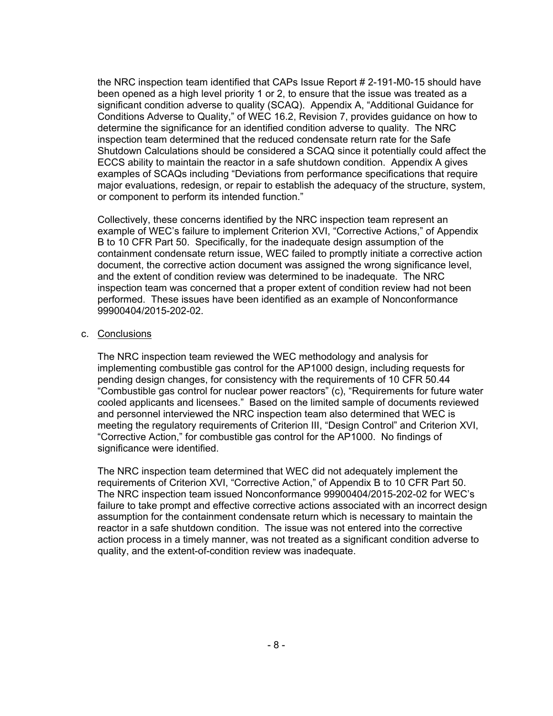the NRC inspection team identified that CAPs Issue Report # 2-191-M0-15 should have been opened as a high level priority 1 or 2, to ensure that the issue was treated as a significant condition adverse to quality (SCAQ). Appendix A, "Additional Guidance for Conditions Adverse to Quality," of WEC 16.2, Revision 7, provides guidance on how to determine the significance for an identified condition adverse to quality. The NRC inspection team determined that the reduced condensate return rate for the Safe Shutdown Calculations should be considered a SCAQ since it potentially could affect the ECCS ability to maintain the reactor in a safe shutdown condition. Appendix A gives examples of SCAQs including "Deviations from performance specifications that require major evaluations, redesign, or repair to establish the adequacy of the structure, system, or component to perform its intended function."

Collectively, these concerns identified by the NRC inspection team represent an example of WEC's failure to implement Criterion XVI, "Corrective Actions," of Appendix B to 10 CFR Part 50. Specifically, for the inadequate design assumption of the containment condensate return issue, WEC failed to promptly initiate a corrective action document, the corrective action document was assigned the wrong significance level, and the extent of condition review was determined to be inadequate. The NRC inspection team was concerned that a proper extent of condition review had not been performed. These issues have been identified as an example of Nonconformance 99900404/2015-202-02.

### c. Conclusions

The NRC inspection team reviewed the WEC methodology and analysis for implementing combustible gas control for the AP1000 design, including requests for pending design changes, for consistency with the requirements of 10 CFR 50.44 "Combustible gas control for nuclear power reactors" (c), "Requirements for future water cooled applicants and licensees." Based on the limited sample of documents reviewed and personnel interviewed the NRC inspection team also determined that WEC is meeting the regulatory requirements of Criterion III, "Design Control" and Criterion XVI, "Corrective Action," for combustible gas control for the AP1000. No findings of significance were identified.

The NRC inspection team determined that WEC did not adequately implement the requirements of Criterion XVI, "Corrective Action," of Appendix B to 10 CFR Part 50. The NRC inspection team issued Nonconformance 99900404/2015-202-02 for WEC's failure to take prompt and effective corrective actions associated with an incorrect design assumption for the containment condensate return which is necessary to maintain the reactor in a safe shutdown condition. The issue was not entered into the corrective action process in a timely manner, was not treated as a significant condition adverse to quality, and the extent-of-condition review was inadequate.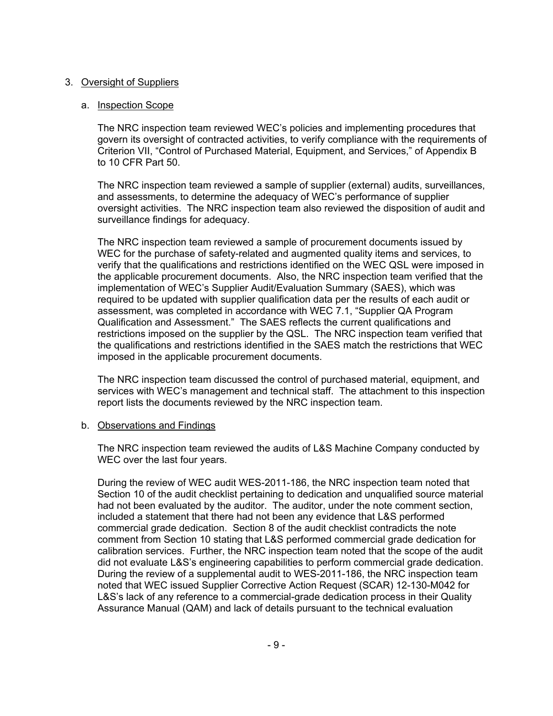# 3. Oversight of Suppliers

## a. Inspection Scope

The NRC inspection team reviewed WEC's policies and implementing procedures that govern its oversight of contracted activities, to verify compliance with the requirements of Criterion VII, "Control of Purchased Material, Equipment, and Services," of Appendix B to 10 CFR Part 50.

The NRC inspection team reviewed a sample of supplier (external) audits, surveillances, and assessments, to determine the adequacy of WEC's performance of supplier oversight activities. The NRC inspection team also reviewed the disposition of audit and surveillance findings for adequacy.

The NRC inspection team reviewed a sample of procurement documents issued by WEC for the purchase of safety-related and augmented quality items and services, to verify that the qualifications and restrictions identified on the WEC QSL were imposed in the applicable procurement documents. Also, the NRC inspection team verified that the implementation of WEC's Supplier Audit/Evaluation Summary (SAES), which was required to be updated with supplier qualification data per the results of each audit or assessment, was completed in accordance with WEC 7.1, "Supplier QA Program Qualification and Assessment." The SAES reflects the current qualifications and restrictions imposed on the supplier by the QSL. The NRC inspection team verified that the qualifications and restrictions identified in the SAES match the restrictions that WEC imposed in the applicable procurement documents.

The NRC inspection team discussed the control of purchased material, equipment, and services with WEC's management and technical staff. The attachment to this inspection report lists the documents reviewed by the NRC inspection team.

## b. Observations and Findings

The NRC inspection team reviewed the audits of L&S Machine Company conducted by WEC over the last four years.

During the review of WEC audit WES-2011-186, the NRC inspection team noted that Section 10 of the audit checklist pertaining to dedication and unqualified source material had not been evaluated by the auditor. The auditor, under the note comment section, included a statement that there had not been any evidence that L&S performed commercial grade dedication. Section 8 of the audit checklist contradicts the note comment from Section 10 stating that L&S performed commercial grade dedication for calibration services. Further, the NRC inspection team noted that the scope of the audit did not evaluate L&S's engineering capabilities to perform commercial grade dedication. During the review of a supplemental audit to WES-2011-186, the NRC inspection team noted that WEC issued Supplier Corrective Action Request (SCAR) 12-130-M042 for L&S's lack of any reference to a commercial-grade dedication process in their Quality Assurance Manual (QAM) and lack of details pursuant to the technical evaluation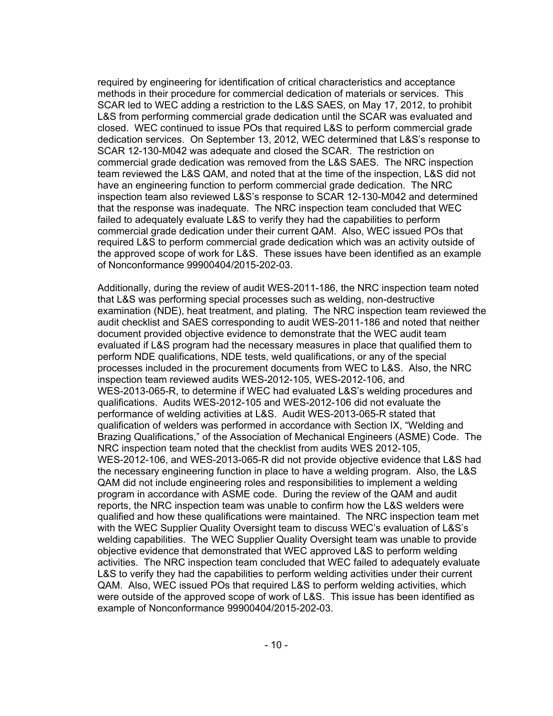required by engineering for identification of critical characteristics and acceptance methods in their procedure for commercial dedication of materials or services. This SCAR led to WEC adding a restriction to the L&S SAES, on May 17, 2012, to prohibit L&S from performing commercial grade dedication until the SCAR was evaluated and closed. WEC continued to issue POs that required L&S to perform commercial grade dedication services. On September 13, 2012, WEC determined that L&S's response to SCAR 12-130-M042 was adequate and closed the SCAR. The restriction on commercial grade dedication was removed from the L&S SAES. The NRC inspection team reviewed the L&S QAM, and noted that at the time of the inspection, L&S did not have an engineering function to perform commercial grade dedication. The NRC inspection team also reviewed L&S's response to SCAR 12-130-M042 and determined that the response was inadequate. The NRC inspection team concluded that WEC failed to adequately evaluate L&S to verify they had the capabilities to perform commercial grade dedication under their current QAM. Also, WEC issued POs that required L&S to perform commercial grade dedication which was an activity outside of the approved scope of work for L&S. These issues have been identified as an example of Nonconformance 99900404/2015-202-03.

Additionally, during the review of audit WES-2011-186, the NRC inspection team noted that L&S was performing special processes such as welding, non-destructive examination (NDE), heat treatment, and plating. The NRC inspection team reviewed the audit checklist and SAES corresponding to audit WES-2011-186 and noted that neither document provided objective evidence to demonstrate that the WEC audit team evaluated if L&S program had the necessary measures in place that qualified them to perform NDE qualifications, NDE tests, weld qualifications, or any of the special processes included in the procurement documents from WEC to L&S. Also, the NRC inspection team reviewed audits WES-2012-105, WES-2012-106, and WES-2013-065-R, to determine if WEC had evaluated L&S's welding procedures and qualifications. Audits WES-2012-105 and WES-2012-106 did not evaluate the performance of welding activities at L&S. Audit WES-2013-065-R stated that qualification of welders was performed in accordance with Section IX, "Welding and Brazing Qualifications," of the Association of Mechanical Engineers (ASME) Code. The NRC inspection team noted that the checklist from audits WES 2012-105, WES-2012-106, and WES-2013-065-R did not provide objective evidence that L&S had the necessary engineering function in place to have a welding program. Also, the L&S QAM did not include engineering roles and responsibilities to implement a welding program in accordance with ASME code. During the review of the QAM and audit reports, the NRC inspection team was unable to confirm how the L&S welders were qualified and how these qualifications were maintained. The NRC inspection team met with the WEC Supplier Quality Oversight team to discuss WEC's evaluation of L&S's welding capabilities. The WEC Supplier Quality Oversight team was unable to provide objective evidence that demonstrated that WEC approved L&S to perform welding activities. The NRC inspection team concluded that WEC failed to adequately evaluate L&S to verify they had the capabilities to perform welding activities under their current QAM. Also, WEC issued POs that required L&S to perform welding activities, which were outside of the approved scope of work of L&S. This issue has been identified as example of Nonconformance 99900404/2015-202-03.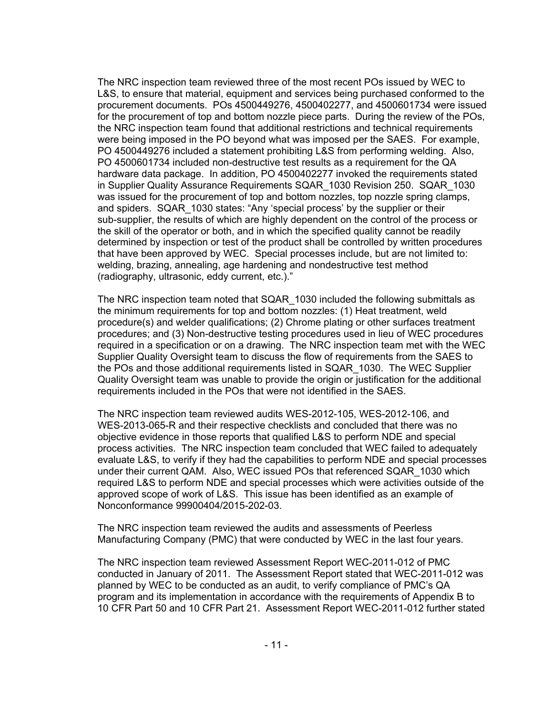The NRC inspection team reviewed three of the most recent POs issued by WEC to L&S, to ensure that material, equipment and services being purchased conformed to the procurement documents. POs 4500449276, 4500402277, and 4500601734 were issued for the procurement of top and bottom nozzle piece parts. During the review of the POs, the NRC inspection team found that additional restrictions and technical requirements were being imposed in the PO beyond what was imposed per the SAES. For example, PO 4500449276 included a statement prohibiting L&S from performing welding. Also, PO 4500601734 included non-destructive test results as a requirement for the QA hardware data package. In addition, PO 4500402277 invoked the requirements stated in Supplier Quality Assurance Requirements SQAR\_1030 Revision 250. SQAR\_1030 was issued for the procurement of top and bottom nozzles, top nozzle spring clamps, and spiders. SQAR\_1030 states: "Any 'special process' by the supplier or their sub-supplier, the results of which are highly dependent on the control of the process or the skill of the operator or both, and in which the specified quality cannot be readily determined by inspection or test of the product shall be controlled by written procedures that have been approved by WEC. Special processes include, but are not limited to: welding, brazing, annealing, age hardening and nondestructive test method (radiography, ultrasonic, eddy current, etc.)."

The NRC inspection team noted that SQAR\_1030 included the following submittals as the minimum requirements for top and bottom nozzles: (1) Heat treatment, weld procedure(s) and welder qualifications; (2) Chrome plating or other surfaces treatment procedures; and (3) Non-destructive testing procedures used in lieu of WEC procedures required in a specification or on a drawing. The NRC inspection team met with the WEC Supplier Quality Oversight team to discuss the flow of requirements from the SAES to the POs and those additional requirements listed in SQAR\_1030. The WEC Supplier Quality Oversight team was unable to provide the origin or justification for the additional requirements included in the POs that were not identified in the SAES.

The NRC inspection team reviewed audits WES-2012-105, WES-2012-106, and WES-2013-065-R and their respective checklists and concluded that there was no objective evidence in those reports that qualified L&S to perform NDE and special process activities. The NRC inspection team concluded that WEC failed to adequately evaluate L&S, to verify if they had the capabilities to perform NDE and special processes under their current QAM. Also, WEC issued POs that referenced SQAR\_1030 which required L&S to perform NDE and special processes which were activities outside of the approved scope of work of L&S. This issue has been identified as an example of Nonconformance 99900404/2015-202-03.

The NRC inspection team reviewed the audits and assessments of Peerless Manufacturing Company (PMC) that were conducted by WEC in the last four years.

The NRC inspection team reviewed Assessment Report WEC-2011-012 of PMC conducted in January of 2011. The Assessment Report stated that WEC-2011-012 was planned by WEC to be conducted as an audit, to verify compliance of PMC's QA program and its implementation in accordance with the requirements of Appendix B to 10 CFR Part 50 and 10 CFR Part 21. Assessment Report WEC-2011-012 further stated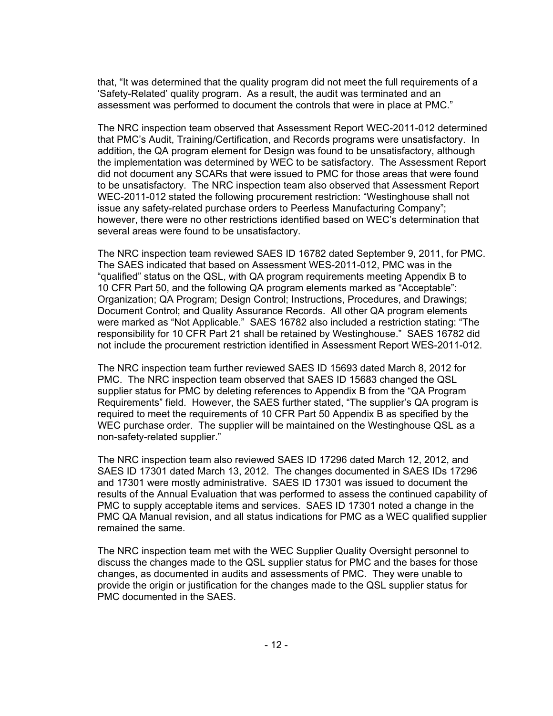that, "It was determined that the quality program did not meet the full requirements of a 'Safety-Related' quality program. As a result, the audit was terminated and an assessment was performed to document the controls that were in place at PMC."

The NRC inspection team observed that Assessment Report WEC-2011-012 determined that PMC's Audit, Training/Certification, and Records programs were unsatisfactory. In addition, the QA program element for Design was found to be unsatisfactory, although the implementation was determined by WEC to be satisfactory. The Assessment Report did not document any SCARs that were issued to PMC for those areas that were found to be unsatisfactory. The NRC inspection team also observed that Assessment Report WEC-2011-012 stated the following procurement restriction: "Westinghouse shall not issue any safety-related purchase orders to Peerless Manufacturing Company"; however, there were no other restrictions identified based on WEC's determination that several areas were found to be unsatisfactory.

The NRC inspection team reviewed SAES ID 16782 dated September 9, 2011, for PMC. The SAES indicated that based on Assessment WES-2011-012, PMC was in the "qualified" status on the QSL, with QA program requirements meeting Appendix B to 10 CFR Part 50, and the following QA program elements marked as "Acceptable": Organization; QA Program; Design Control; Instructions, Procedures, and Drawings; Document Control; and Quality Assurance Records. All other QA program elements were marked as "Not Applicable." SAES 16782 also included a restriction stating: "The responsibility for 10 CFR Part 21 shall be retained by Westinghouse." SAES 16782 did not include the procurement restriction identified in Assessment Report WES-2011-012.

The NRC inspection team further reviewed SAES ID 15693 dated March 8, 2012 for PMC. The NRC inspection team observed that SAES ID 15683 changed the QSL supplier status for PMC by deleting references to Appendix B from the "QA Program Requirements" field. However, the SAES further stated, "The supplier's QA program is required to meet the requirements of 10 CFR Part 50 Appendix B as specified by the WEC purchase order. The supplier will be maintained on the Westinghouse QSL as a non-safety-related supplier."

The NRC inspection team also reviewed SAES ID 17296 dated March 12, 2012, and SAES ID 17301 dated March 13, 2012. The changes documented in SAES IDs 17296 and 17301 were mostly administrative. SAES ID 17301 was issued to document the results of the Annual Evaluation that was performed to assess the continued capability of PMC to supply acceptable items and services. SAES ID 17301 noted a change in the PMC QA Manual revision, and all status indications for PMC as a WEC qualified supplier remained the same.

The NRC inspection team met with the WEC Supplier Quality Oversight personnel to discuss the changes made to the QSL supplier status for PMC and the bases for those changes, as documented in audits and assessments of PMC. They were unable to provide the origin or justification for the changes made to the QSL supplier status for PMC documented in the SAES.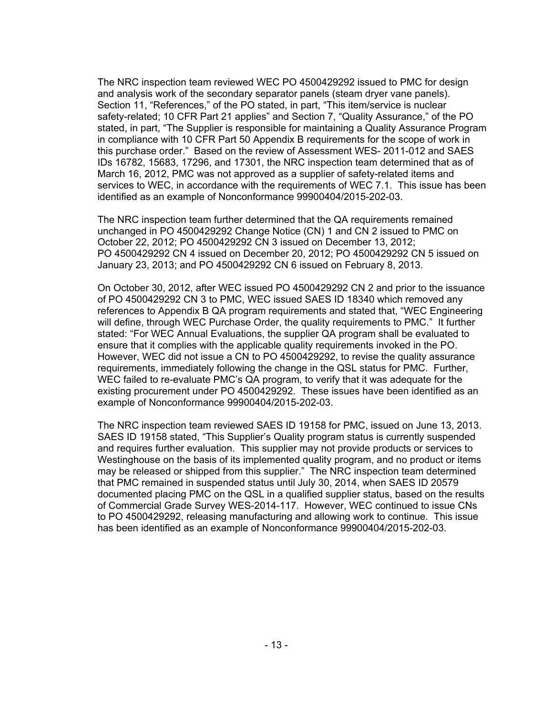The NRC inspection team reviewed WEC PO 4500429292 issued to PMC for design and analysis work of the secondary separator panels (steam dryer vane panels). Section 11, "References," of the PO stated, in part, "This item/service is nuclear safety-related; 10 CFR Part 21 applies" and Section 7, "Quality Assurance," of the PO stated, in part, "The Supplier is responsible for maintaining a Quality Assurance Program in compliance with 10 CFR Part 50 Appendix B requirements for the scope of work in this purchase order." Based on the review of Assessment WES- 2011-012 and SAES IDs 16782, 15683, 17296, and 17301, the NRC inspection team determined that as of March 16, 2012, PMC was not approved as a supplier of safety-related items and services to WEC, in accordance with the requirements of WEC 7.1. This issue has been identified as an example of Nonconformance 99900404/2015-202-03.

The NRC inspection team further determined that the QA requirements remained unchanged in PO 4500429292 Change Notice (CN) 1 and CN 2 issued to PMC on October 22, 2012; PO 4500429292 CN 3 issued on December 13, 2012; PO 4500429292 CN 4 issued on December 20, 2012; PO 4500429292 CN 5 issued on January 23, 2013; and PO 4500429292 CN 6 issued on February 8, 2013.

On October 30, 2012, after WEC issued PO 4500429292 CN 2 and prior to the issuance of PO 4500429292 CN 3 to PMC, WEC issued SAES ID 18340 which removed any references to Appendix B QA program requirements and stated that, "WEC Engineering will define, through WEC Purchase Order, the quality requirements to PMC." It further stated: "For WEC Annual Evaluations, the supplier QA program shall be evaluated to ensure that it complies with the applicable quality requirements invoked in the PO. However, WEC did not issue a CN to PO 4500429292, to revise the quality assurance requirements, immediately following the change in the QSL status for PMC. Further, WEC failed to re-evaluate PMC's QA program, to verify that it was adequate for the existing procurement under PO 4500429292. These issues have been identified as an example of Nonconformance 99900404/2015-202-03.

The NRC inspection team reviewed SAES ID 19158 for PMC, issued on June 13, 2013. SAES ID 19158 stated, "This Supplier's Quality program status is currently suspended and requires further evaluation. This supplier may not provide products or services to Westinghouse on the basis of its implemented quality program, and no product or items may be released or shipped from this supplier." The NRC inspection team determined that PMC remained in suspended status until July 30, 2014, when SAES ID 20579 documented placing PMC on the QSL in a qualified supplier status, based on the results of Commercial Grade Survey WES-2014-117. However, WEC continued to issue CNs to PO 4500429292, releasing manufacturing and allowing work to continue. This issue has been identified as an example of Nonconformance 99900404/2015-202-03.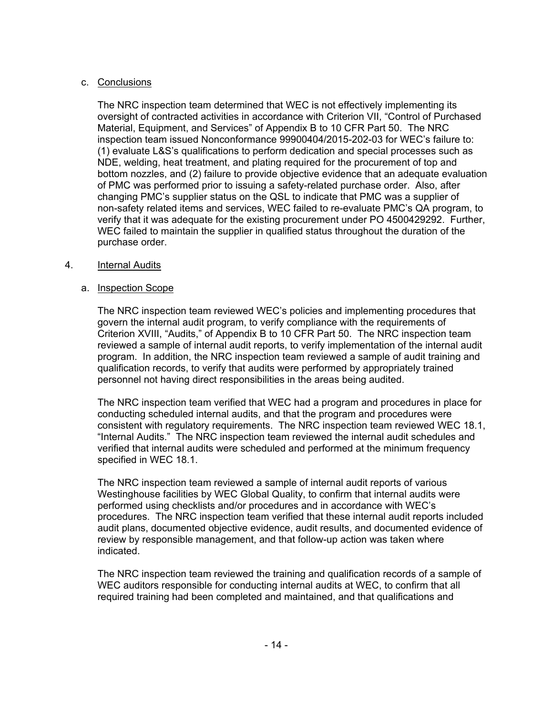# c. Conclusions

The NRC inspection team determined that WEC is not effectively implementing its oversight of contracted activities in accordance with Criterion VII, "Control of Purchased Material, Equipment, and Services" of Appendix B to 10 CFR Part 50. The NRC inspection team issued Nonconformance 99900404/2015-202-03 for WEC's failure to: (1) evaluate L&S's qualifications to perform dedication and special processes such as NDE, welding, heat treatment, and plating required for the procurement of top and bottom nozzles, and (2) failure to provide objective evidence that an adequate evaluation of PMC was performed prior to issuing a safety-related purchase order. Also, after changing PMC's supplier status on the QSL to indicate that PMC was a supplier of non-safety related items and services, WEC failed to re-evaluate PMC's QA program, to verify that it was adequate for the existing procurement under PO 4500429292. Further, WEC failed to maintain the supplier in qualified status throughout the duration of the purchase order.

# 4. Internal Audits

# a. Inspection Scope

The NRC inspection team reviewed WEC's policies and implementing procedures that govern the internal audit program, to verify compliance with the requirements of Criterion XVIII, "Audits," of Appendix B to 10 CFR Part 50. The NRC inspection team reviewed a sample of internal audit reports, to verify implementation of the internal audit program. In addition, the NRC inspection team reviewed a sample of audit training and qualification records, to verify that audits were performed by appropriately trained personnel not having direct responsibilities in the areas being audited.

The NRC inspection team verified that WEC had a program and procedures in place for conducting scheduled internal audits, and that the program and procedures were consistent with regulatory requirements. The NRC inspection team reviewed WEC 18.1, "Internal Audits." The NRC inspection team reviewed the internal audit schedules and verified that internal audits were scheduled and performed at the minimum frequency specified in WEC 18.1.

The NRC inspection team reviewed a sample of internal audit reports of various Westinghouse facilities by WEC Global Quality, to confirm that internal audits were performed using checklists and/or procedures and in accordance with WEC's procedures. The NRC inspection team verified that these internal audit reports included audit plans, documented objective evidence, audit results, and documented evidence of review by responsible management, and that follow-up action was taken where indicated.

The NRC inspection team reviewed the training and qualification records of a sample of WEC auditors responsible for conducting internal audits at WEC, to confirm that all required training had been completed and maintained, and that qualifications and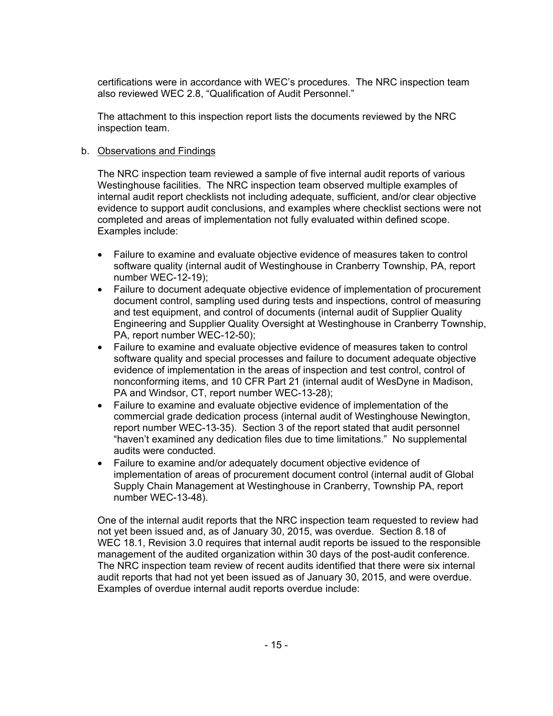certifications were in accordance with WEC's procedures. The NRC inspection team also reviewed WEC 2.8, "Qualification of Audit Personnel."

The attachment to this inspection report lists the documents reviewed by the NRC inspection team.

## b. Observations and Findings

The NRC inspection team reviewed a sample of five internal audit reports of various Westinghouse facilities. The NRC inspection team observed multiple examples of internal audit report checklists not including adequate, sufficient, and/or clear objective evidence to support audit conclusions, and examples where checklist sections were not completed and areas of implementation not fully evaluated within defined scope. Examples include:

- Failure to examine and evaluate objective evidence of measures taken to control software quality (internal audit of Westinghouse in Cranberry Township, PA, report number WEC-12-19);
- Failure to document adequate objective evidence of implementation of procurement document control, sampling used during tests and inspections, control of measuring and test equipment, and control of documents (internal audit of Supplier Quality Engineering and Supplier Quality Oversight at Westinghouse in Cranberry Township, PA, report number WEC-12-50);
- Failure to examine and evaluate objective evidence of measures taken to control software quality and special processes and failure to document adequate objective evidence of implementation in the areas of inspection and test control, control of nonconforming items, and 10 CFR Part 21 (internal audit of WesDyne in Madison, PA and Windsor, CT, report number WEC-13-28);
- Failure to examine and evaluate objective evidence of implementation of the commercial grade dedication process (internal audit of Westinghouse Newington, report number WEC-13-35). Section 3 of the report stated that audit personnel "haven't examined any dedication files due to time limitations." No supplemental audits were conducted.
- Failure to examine and/or adequately document objective evidence of implementation of areas of procurement document control (internal audit of Global Supply Chain Management at Westinghouse in Cranberry, Township PA, report number WEC-13-48).

One of the internal audit reports that the NRC inspection team requested to review had not yet been issued and, as of January 30, 2015, was overdue. Section 8.18 of WEC 18.1, Revision 3.0 requires that internal audit reports be issued to the responsible management of the audited organization within 30 days of the post-audit conference. The NRC inspection team review of recent audits identified that there were six internal audit reports that had not yet been issued as of January 30, 2015, and were overdue. Examples of overdue internal audit reports overdue include: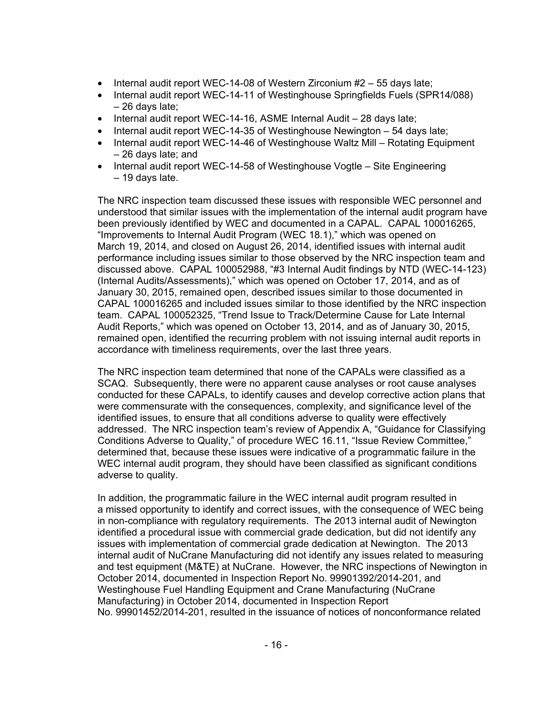- Internal audit report WEC-14-08 of Western Zirconium #2 55 days late;
- Internal audit report WEC-14-11 of Westinghouse Springfields Fuels (SPR14/088) – 26 days late;
- Internal audit report WEC-14-16, ASME Internal Audit 28 days late;
- Internal audit report WEC-14-35 of Westinghouse Newington 54 days late;
- Internal audit report WEC-14-46 of Westinghouse Waltz Mill Rotating Equipment – 26 days late; and
- Internal audit report WEC-14-58 of Westinghouse Vogtle Site Engineering – 19 days late.

The NRC inspection team discussed these issues with responsible WEC personnel and understood that similar issues with the implementation of the internal audit program have been previously identified by WEC and documented in a CAPAL. CAPAL 100016265, "Improvements to Internal Audit Program (WEC 18.1)," which was opened on March 19, 2014, and closed on August 26, 2014, identified issues with internal audit performance including issues similar to those observed by the NRC inspection team and discussed above. CAPAL 100052988, "#3 Internal Audit findings by NTD (WEC-14-123) (Internal Audits/Assessments)," which was opened on October 17, 2014, and as of January 30, 2015, remained open, described issues similar to those documented in CAPAL 100016265 and included issues similar to those identified by the NRC inspection team. CAPAL 100052325, "Trend Issue to Track/Determine Cause for Late Internal Audit Reports," which was opened on October 13, 2014, and as of January 30, 2015, remained open, identified the recurring problem with not issuing internal audit reports in accordance with timeliness requirements, over the last three years.

The NRC inspection team determined that none of the CAPALs were classified as a SCAQ. Subsequently, there were no apparent cause analyses or root cause analyses conducted for these CAPALs, to identify causes and develop corrective action plans that were commensurate with the consequences, complexity, and significance level of the identified issues, to ensure that all conditions adverse to quality were effectively addressed. The NRC inspection team's review of Appendix A, "Guidance for Classifying Conditions Adverse to Quality," of procedure WEC 16.11, "Issue Review Committee," determined that, because these issues were indicative of a programmatic failure in the WEC internal audit program, they should have been classified as significant conditions adverse to quality.

In addition, the programmatic failure in the WEC internal audit program resulted in a missed opportunity to identify and correct issues, with the consequence of WEC being in non-compliance with regulatory requirements. The 2013 internal audit of Newington identified a procedural issue with commercial grade dedication, but did not identify any issues with implementation of commercial grade dedication at Newington. The 2013 internal audit of NuCrane Manufacturing did not identify any issues related to measuring and test equipment (M&TE) at NuCrane. However, the NRC inspections of Newington in October 2014, documented in Inspection Report No. 99901392/2014-201, and Westinghouse Fuel Handling Equipment and Crane Manufacturing (NuCrane Manufacturing) in October 2014, documented in Inspection Report No. 99901452/2014-201, resulted in the issuance of notices of nonconformance related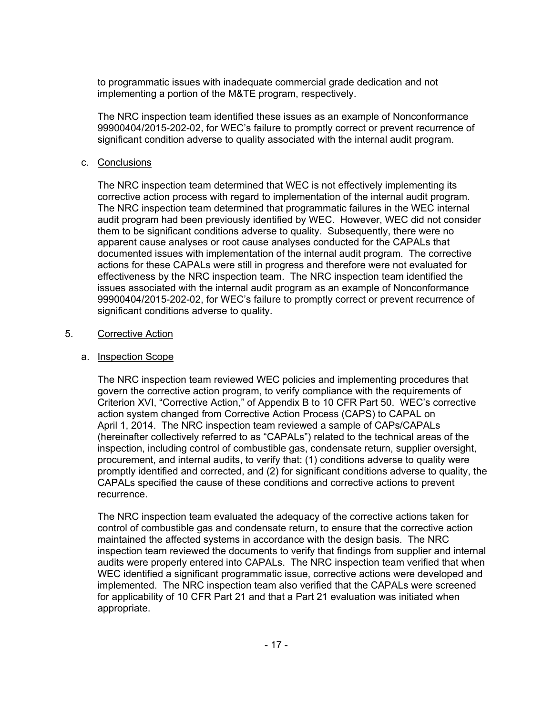to programmatic issues with inadequate commercial grade dedication and not implementing a portion of the M&TE program, respectively.

The NRC inspection team identified these issues as an example of Nonconformance 99900404/2015-202-02, for WEC's failure to promptly correct or prevent recurrence of significant condition adverse to quality associated with the internal audit program.

### c. Conclusions

The NRC inspection team determined that WEC is not effectively implementing its corrective action process with regard to implementation of the internal audit program. The NRC inspection team determined that programmatic failures in the WEC internal audit program had been previously identified by WEC. However, WEC did not consider them to be significant conditions adverse to quality. Subsequently, there were no apparent cause analyses or root cause analyses conducted for the CAPALs that documented issues with implementation of the internal audit program. The corrective actions for these CAPALs were still in progress and therefore were not evaluated for effectiveness by the NRC inspection team. The NRC inspection team identified the issues associated with the internal audit program as an example of Nonconformance 99900404/2015-202-02, for WEC's failure to promptly correct or prevent recurrence of significant conditions adverse to quality.

### 5. Corrective Action

### a. Inspection Scope

The NRC inspection team reviewed WEC policies and implementing procedures that govern the corrective action program, to verify compliance with the requirements of Criterion XVI, "Corrective Action," of Appendix B to 10 CFR Part 50. WEC's corrective action system changed from Corrective Action Process (CAPS) to CAPAL on April 1, 2014. The NRC inspection team reviewed a sample of CAPs/CAPALs (hereinafter collectively referred to as "CAPALs") related to the technical areas of the inspection, including control of combustible gas, condensate return, supplier oversight, procurement, and internal audits, to verify that: (1) conditions adverse to quality were promptly identified and corrected, and (2) for significant conditions adverse to quality, the CAPALs specified the cause of these conditions and corrective actions to prevent recurrence.

The NRC inspection team evaluated the adequacy of the corrective actions taken for control of combustible gas and condensate return, to ensure that the corrective action maintained the affected systems in accordance with the design basis. The NRC inspection team reviewed the documents to verify that findings from supplier and internal audits were properly entered into CAPALs. The NRC inspection team verified that when WEC identified a significant programmatic issue, corrective actions were developed and implemented. The NRC inspection team also verified that the CAPALs were screened for applicability of 10 CFR Part 21 and that a Part 21 evaluation was initiated when appropriate.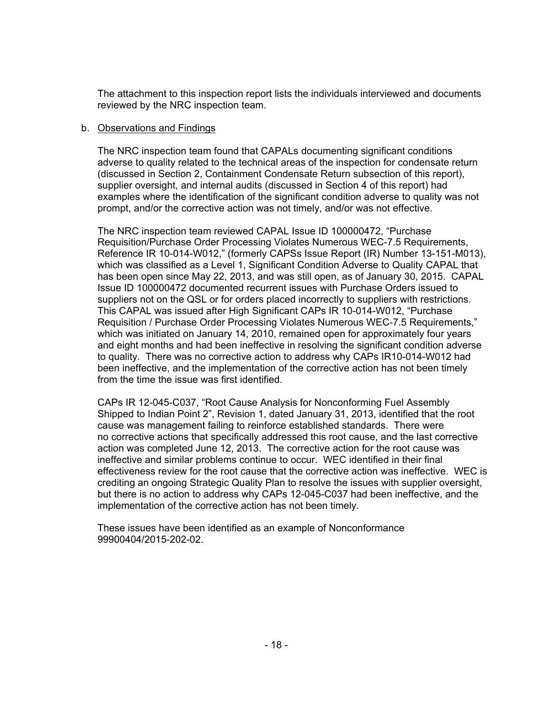The attachment to this inspection report lists the individuals interviewed and documents reviewed by the NRC inspection team.

### b. Observations and Findings

The NRC inspection team found that CAPALs documenting significant conditions adverse to quality related to the technical areas of the inspection for condensate return (discussed in Section 2, Containment Condensate Return subsection of this report), supplier oversight, and internal audits (discussed in Section 4 of this report) had examples where the identification of the significant condition adverse to quality was not prompt, and/or the corrective action was not timely, and/or was not effective.

The NRC inspection team reviewed CAPAL Issue ID 100000472, "Purchase Requisition/Purchase Order Processing Violates Numerous WEC-7.5 Requirements, Reference IR 10-014-W012," (formerly CAPSs Issue Report (IR) Number 13-151-M013), which was classified as a Level 1, Significant Condition Adverse to Quality CAPAL that has been open since May 22, 2013, and was still open, as of January 30, 2015. CAPAL Issue ID 100000472 documented recurrent issues with Purchase Orders issued to suppliers not on the QSL or for orders placed incorrectly to suppliers with restrictions. This CAPAL was issued after High Significant CAPs IR 10-014-W012, "Purchase Requisition / Purchase Order Processing Violates Numerous WEC-7.5 Requirements," which was initiated on January 14, 2010, remained open for approximately four years and eight months and had been ineffective in resolving the significant condition adverse to quality. There was no corrective action to address why CAPs IR10-014-W012 had been ineffective, and the implementation of the corrective action has not been timely from the time the issue was first identified.

CAPs IR 12-045-C037, "Root Cause Analysis for Nonconforming Fuel Assembly Shipped to Indian Point 2", Revision 1, dated January 31, 2013, identified that the root cause was management failing to reinforce established standards. There were no corrective actions that specifically addressed this root cause, and the last corrective action was completed June 12, 2013. The corrective action for the root cause was ineffective and similar problems continue to occur. WEC identified in their final effectiveness review for the root cause that the corrective action was ineffective. WEC is crediting an ongoing Strategic Quality Plan to resolve the issues with supplier oversight, but there is no action to address why CAPs 12-045-C037 had been ineffective, and the implementation of the corrective action has not been timely.

These issues have been identified as an example of Nonconformance 99900404/2015-202-02.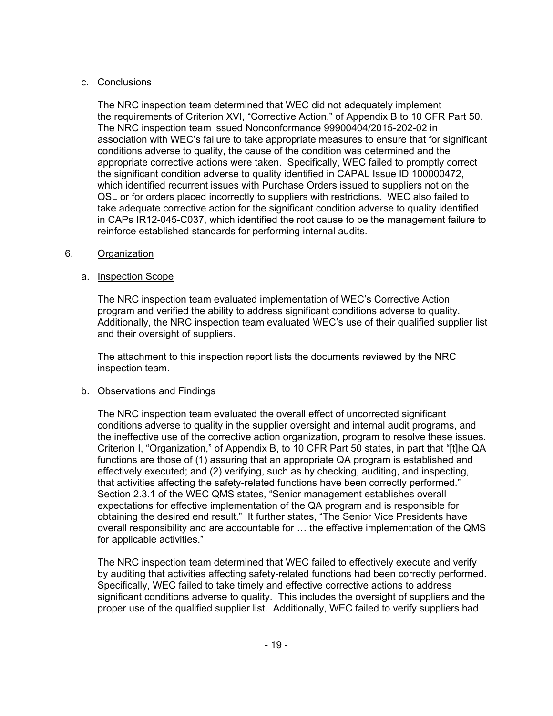# c. Conclusions

The NRC inspection team determined that WEC did not adequately implement the requirements of Criterion XVI, "Corrective Action," of Appendix B to 10 CFR Part 50. The NRC inspection team issued Nonconformance 99900404/2015-202-02 in association with WEC's failure to take appropriate measures to ensure that for significant conditions adverse to quality, the cause of the condition was determined and the appropriate corrective actions were taken. Specifically, WEC failed to promptly correct the significant condition adverse to quality identified in CAPAL Issue ID 100000472, which identified recurrent issues with Purchase Orders issued to suppliers not on the QSL or for orders placed incorrectly to suppliers with restrictions. WEC also failed to take adequate corrective action for the significant condition adverse to quality identified in CAPs IR12-045-C037, which identified the root cause to be the management failure to reinforce established standards for performing internal audits.

## 6. Organization

# a. Inspection Scope

The NRC inspection team evaluated implementation of WEC's Corrective Action program and verified the ability to address significant conditions adverse to quality. Additionally, the NRC inspection team evaluated WEC's use of their qualified supplier list and their oversight of suppliers.

The attachment to this inspection report lists the documents reviewed by the NRC inspection team.

# b. Observations and Findings

The NRC inspection team evaluated the overall effect of uncorrected significant conditions adverse to quality in the supplier oversight and internal audit programs, and the ineffective use of the corrective action organization, program to resolve these issues. Criterion I, "Organization," of Appendix B, to 10 CFR Part 50 states, in part that "[t]he QA functions are those of (1) assuring that an appropriate QA program is established and effectively executed; and (2) verifying, such as by checking, auditing, and inspecting, that activities affecting the safety-related functions have been correctly performed." Section 2.3.1 of the WEC QMS states, "Senior management establishes overall expectations for effective implementation of the QA program and is responsible for obtaining the desired end result." It further states, "The Senior Vice Presidents have overall responsibility and are accountable for … the effective implementation of the QMS for applicable activities."

The NRC inspection team determined that WEC failed to effectively execute and verify by auditing that activities affecting safety-related functions had been correctly performed. Specifically, WEC failed to take timely and effective corrective actions to address significant conditions adverse to quality. This includes the oversight of suppliers and the proper use of the qualified supplier list. Additionally, WEC failed to verify suppliers had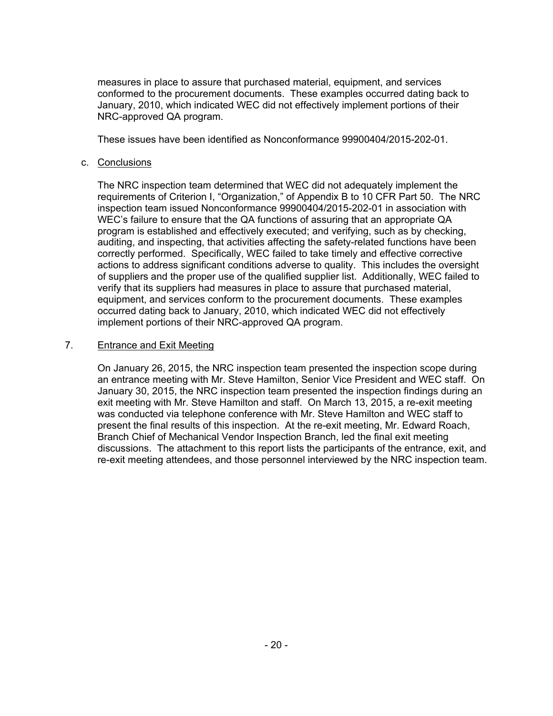measures in place to assure that purchased material, equipment, and services conformed to the procurement documents. These examples occurred dating back to January, 2010, which indicated WEC did not effectively implement portions of their NRC-approved QA program.

These issues have been identified as Nonconformance 99900404/2015-202-01.

### c. Conclusions

The NRC inspection team determined that WEC did not adequately implement the requirements of Criterion I, "Organization," of Appendix B to 10 CFR Part 50. The NRC inspection team issued Nonconformance 99900404/2015-202-01 in association with WEC's failure to ensure that the QA functions of assuring that an appropriate QA program is established and effectively executed; and verifying, such as by checking, auditing, and inspecting, that activities affecting the safety-related functions have been correctly performed. Specifically, WEC failed to take timely and effective corrective actions to address significant conditions adverse to quality. This includes the oversight of suppliers and the proper use of the qualified supplier list. Additionally, WEC failed to verify that its suppliers had measures in place to assure that purchased material, equipment, and services conform to the procurement documents. These examples occurred dating back to January, 2010, which indicated WEC did not effectively implement portions of their NRC-approved QA program.

### 7. Entrance and Exit Meeting

On January 26, 2015, the NRC inspection team presented the inspection scope during an entrance meeting with Mr. Steve Hamilton, Senior Vice President and WEC staff. On January 30, 2015, the NRC inspection team presented the inspection findings during an exit meeting with Mr. Steve Hamilton and staff. On March 13, 2015, a re-exit meeting was conducted via telephone conference with Mr. Steve Hamilton and WEC staff to present the final results of this inspection. At the re-exit meeting, Mr. Edward Roach, Branch Chief of Mechanical Vendor Inspection Branch, led the final exit meeting discussions. The attachment to this report lists the participants of the entrance, exit, and re-exit meeting attendees, and those personnel interviewed by the NRC inspection team.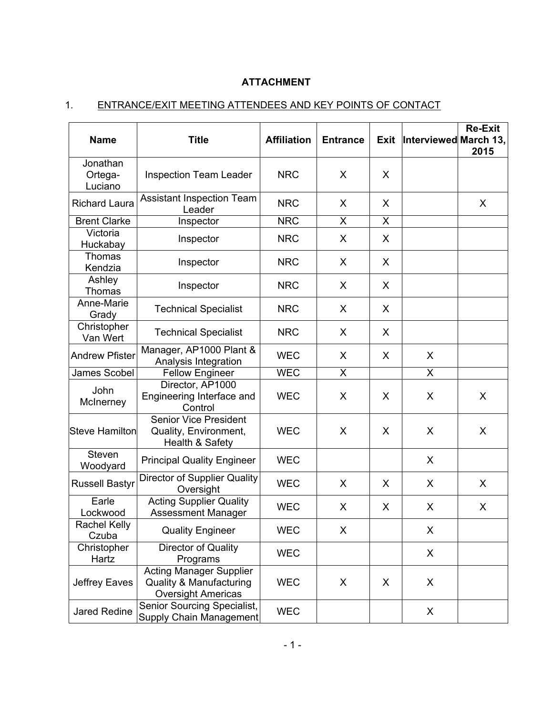# **ATTACHMENT**

# 1. ENTRANCE/EXIT MEETING ATTENDEES AND KEY POINTS OF CONTACT

| <b>Name</b>                    | <b>Title</b>                                                                                      | <b>Affiliation</b> | <b>Entrance</b> | Exit | Interviewed March 13, | <b>Re-Exit</b><br>2015 |
|--------------------------------|---------------------------------------------------------------------------------------------------|--------------------|-----------------|------|-----------------------|------------------------|
| Jonathan<br>Ortega-<br>Luciano | <b>Inspection Team Leader</b>                                                                     | <b>NRC</b>         | X               | X    |                       |                        |
| <b>Richard Laura</b>           | <b>Assistant Inspection Team</b><br>Leader                                                        | <b>NRC</b>         | X               | X    |                       | X                      |
| <b>Brent Clarke</b>            | Inspector                                                                                         | <b>NRC</b>         | X               | X    |                       |                        |
| Victoria<br>Huckabay           | Inspector                                                                                         | <b>NRC</b>         | X               | X    |                       |                        |
| Thomas<br>Kendzia              | Inspector                                                                                         | <b>NRC</b>         | X               | X    |                       |                        |
| Ashley<br>Thomas               | Inspector                                                                                         | <b>NRC</b>         | X               | X    |                       |                        |
| Anne-Marie<br>Grady            | <b>Technical Specialist</b>                                                                       | <b>NRC</b>         | X               | X    |                       |                        |
| Christopher<br>Van Wert        | <b>Technical Specialist</b>                                                                       | <b>NRC</b>         | X               | X    |                       |                        |
| <b>Andrew Pfister</b>          | Manager, AP1000 Plant &<br>Analysis Integration                                                   | <b>WEC</b>         | X               | X    | X                     |                        |
| James Scobel                   | <b>Fellow Engineer</b>                                                                            | <b>WEC</b>         | X               |      | X                     |                        |
| John<br>McInerney              | Director, AP1000<br>Engineering Interface and<br>Control                                          | <b>WEC</b>         | X               | X    | X                     | X                      |
| <b>Steve Hamilton</b>          | <b>Senior Vice President</b><br>Quality, Environment,<br>Health & Safety                          | <b>WEC</b>         | X               | X    | X                     | X                      |
| Steven<br>Woodyard             | <b>Principal Quality Engineer</b>                                                                 | <b>WEC</b>         |                 |      | X                     |                        |
| <b>Russell Bastyr</b>          | <b>Director of Supplier Quality</b><br>Oversight                                                  | <b>WEC</b>         | X               | X    | X                     | X                      |
| Earle<br>Lockwood              | <b>Acting Supplier Quality</b><br>Assessment Manager                                              | <b>WEC</b>         | X               | X    | X                     | X                      |
| Rachel Kelly<br>Czuba          | <b>Quality Engineer</b>                                                                           | <b>WEC</b>         | X.              |      | $\mathsf{X}$          |                        |
| Christopher<br>Hartz           | Director of Quality<br>Programs                                                                   | <b>WEC</b>         |                 |      | X                     |                        |
| Jeffrey Eaves                  | <b>Acting Manager Supplier</b><br><b>Quality &amp; Manufacturing</b><br><b>Oversight Americas</b> | <b>WEC</b>         | X               | X    | X                     |                        |
| Jared Redine                   | Senior Sourcing Specialist,<br>Supply Chain Management                                            | <b>WEC</b>         |                 |      | X                     |                        |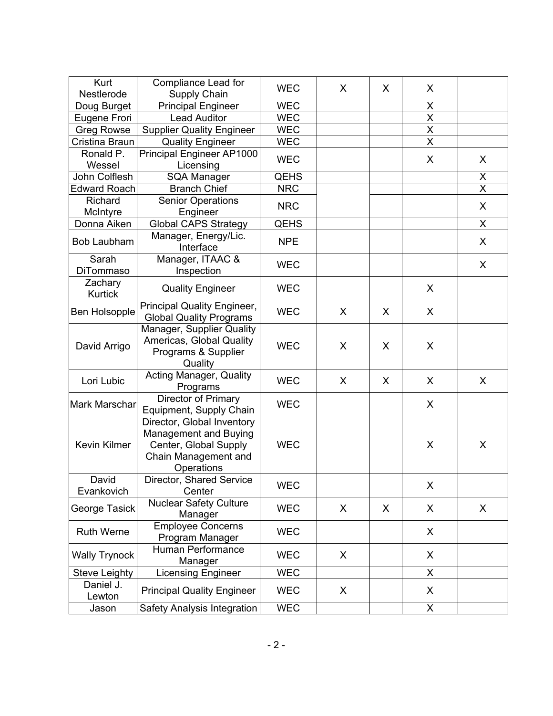| Kurt<br>Nestlerode        | Compliance Lead for<br>Supply Chain                                                                                | <b>WEC</b>  | X | X | X                       |                         |
|---------------------------|--------------------------------------------------------------------------------------------------------------------|-------------|---|---|-------------------------|-------------------------|
| Doug Burget               | <b>Principal Engineer</b>                                                                                          | <b>WEC</b>  |   |   | X                       |                         |
| Eugene Frori              | <b>Lead Auditor</b>                                                                                                | <b>WEC</b>  |   |   | $\overline{\mathsf{x}}$ |                         |
| <b>Greg Rowse</b>         | <b>Supplier Quality Engineer</b>                                                                                   | <b>WEC</b>  |   |   | $\overline{\mathsf{x}}$ |                         |
| Cristina Braun            | <b>Quality Engineer</b>                                                                                            | <b>WEC</b>  |   |   | $\overline{\mathsf{x}}$ |                         |
| Ronald P.                 | Principal Engineer AP1000                                                                                          |             |   |   |                         |                         |
| Wessel                    | Licensing                                                                                                          | <b>WEC</b>  |   |   | X                       | X                       |
| John Colflesh             | SQA Manager                                                                                                        | <b>QEHS</b> |   |   |                         | X                       |
| <b>Edward Roach</b>       | <b>Branch Chief</b>                                                                                                | <b>NRC</b>  |   |   |                         | $\overline{\mathsf{x}}$ |
| Richard                   | <b>Senior Operations</b>                                                                                           | <b>NRC</b>  |   |   |                         |                         |
| McIntyre                  | Engineer                                                                                                           |             |   |   |                         | X                       |
| Donna Aiken               | <b>Global CAPS Strategy</b>                                                                                        | <b>QEHS</b> |   |   |                         | X                       |
| Bob Laubham               | Manager, Energy/Lic.<br>Interface                                                                                  | <b>NPE</b>  |   |   |                         | X                       |
| Sarah                     | Manager, ITAAC &                                                                                                   | <b>WEC</b>  |   |   |                         | X                       |
| DiTommaso                 | Inspection                                                                                                         |             |   |   |                         |                         |
| Zachary<br><b>Kurtick</b> | <b>Quality Engineer</b>                                                                                            | <b>WEC</b>  |   |   | X                       |                         |
| <b>Ben Holsopple</b>      | Principal Quality Engineer,<br><b>Global Quality Programs</b>                                                      | <b>WEC</b>  | X | X | X                       |                         |
| David Arrigo              | Manager, Supplier Quality<br>Americas, Global Quality<br>Programs & Supplier<br>Quality                            | <b>WEC</b>  | X | X | X                       |                         |
| Lori Lubic                | Acting Manager, Quality<br>Programs                                                                                | <b>WEC</b>  | X | X | X                       | X                       |
| Mark Marschar             | <b>Director of Primary</b><br>Equipment, Supply Chain                                                              | <b>WEC</b>  |   |   | X                       |                         |
| Kevin Kilmer              | Director, Global Inventory<br>Management and Buying<br>Center, Global Supply<br>Chain Management and<br>Operations | <b>WEC</b>  |   |   | $\sf X$                 | X                       |
| David<br>Evankovich       | Director, Shared Service<br>Center                                                                                 | <b>WEC</b>  |   |   | X                       |                         |
| George Tasick             | <b>Nuclear Safety Culture</b><br>Manager                                                                           | <b>WEC</b>  | X | X | X                       | X                       |
| Ruth Werne                | <b>Employee Concerns</b><br>Program Manager                                                                        | <b>WEC</b>  |   |   | X                       |                         |
| <b>Wally Trynock</b>      | Human Performance<br>Manager                                                                                       | <b>WEC</b>  | X |   | X                       |                         |
| <b>Steve Leighty</b>      | <b>Licensing Engineer</b>                                                                                          | <b>WEC</b>  |   |   | X                       |                         |
| Daniel J.<br>Lewton       | <b>Principal Quality Engineer</b>                                                                                  | <b>WEC</b>  | X |   | X                       |                         |
| Jason                     | Safety Analysis Integration                                                                                        | <b>WEC</b>  |   |   | X                       |                         |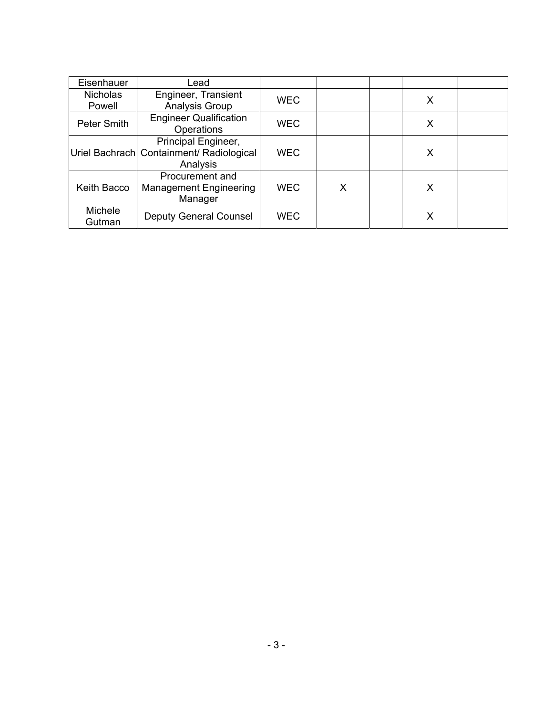| Eisenhauer      | Lead                                        |            |   |   |  |
|-----------------|---------------------------------------------|------------|---|---|--|
| <b>Nicholas</b> | Engineer, Transient                         | <b>WEC</b> |   | Х |  |
| Powell          | Analysis Group                              |            |   |   |  |
| Peter Smith     | <b>Engineer Qualification</b><br>Operations | <b>WEC</b> |   | Х |  |
|                 | Principal Engineer,                         |            |   |   |  |
|                 | Uriel Bachrach Containment/ Radiological    | <b>WEC</b> |   | X |  |
|                 | Analysis                                    |            |   |   |  |
|                 | Procurement and                             |            |   |   |  |
| Keith Bacco     | <b>Management Engineering</b>               | <b>WEC</b> | X | Х |  |
|                 | Manager                                     |            |   |   |  |
| Michele         | <b>Deputy General Counsel</b>               | <b>WEC</b> |   | x |  |
| Gutman          |                                             |            |   |   |  |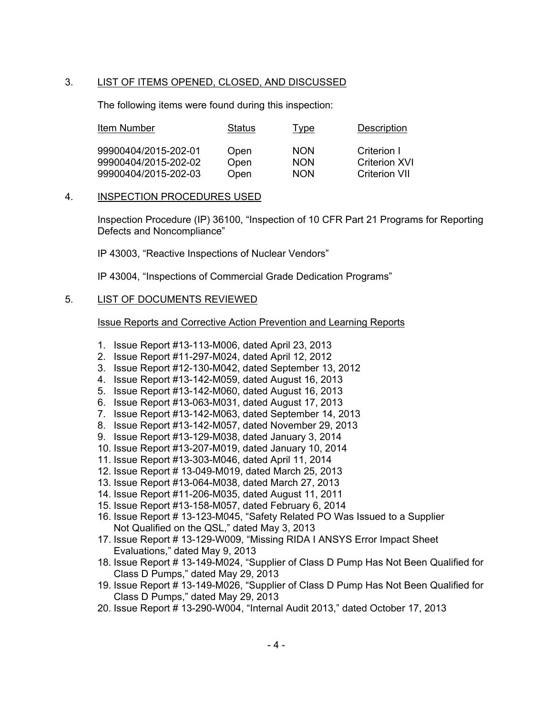# 3. LIST OF ITEMS OPENED, CLOSED, AND DISCUSSED

The following items were found during this inspection:

| Item Number                                  | Status       | <u>Type</u>              | Description                         |
|----------------------------------------------|--------------|--------------------------|-------------------------------------|
| 99900404/2015-202-01<br>99900404/2015-202-02 | Open<br>Open | <b>NON</b><br><b>NON</b> | Criterion I<br><b>Criterion XVI</b> |
| 99900404/2015-202-03                         | Open         | <b>NON</b>               | Criterion VII                       |

### 4. INSPECTION PROCEDURES USED

Inspection Procedure (IP) 36100, "Inspection of 10 CFR Part 21 Programs for Reporting Defects and Noncompliance"

IP 43003, "Reactive Inspections of Nuclear Vendors"

IP 43004, "Inspections of Commercial Grade Dedication Programs"

### 5. LIST OF DOCUMENTS REVIEWED

Issue Reports and Corrective Action Prevention and Learning Reports

- 1. Issue Report #13-113-M006, dated April 23, 2013
- 2. Issue Report #11-297-M024, dated April 12, 2012
- 3. Issue Report #12-130-M042, dated September 13, 2012
- 4. Issue Report #13-142-M059, dated August 16, 2013
- 5. Issue Report #13-142-M060, dated August 16, 2013
- 6. Issue Report #13-063-M031, dated August 17, 2013
- 7. Issue Report #13-142-M063, dated September 14, 2013
- 8. Issue Report #13-142-M057, dated November 29, 2013
- 9. Issue Report #13-129-M038, dated January 3, 2014
- 10. Issue Report #13-207-M019, dated January 10, 2014
- 11. Issue Report #13-303-M046, dated April 11, 2014
- 12. Issue Report # 13-049-M019, dated March 25, 2013
- 13. Issue Report #13-064-M038, dated March 27, 2013
- 14. Issue Report #11-206-M035, dated August 11, 2011
- 15. Issue Report #13-158-M057, dated February 6, 2014
- 16. Issue Report # 13-123-M045, "Safety Related PO Was Issued to a Supplier Not Qualified on the QSL," dated May 3, 2013
- 17. Issue Report # 13-129-W009, "Missing RIDA I ANSYS Error Impact Sheet Evaluations," dated May 9, 2013
- 18. Issue Report # 13-149-M024, "Supplier of Class D Pump Has Not Been Qualified for Class D Pumps," dated May 29, 2013
- 19. Issue Report # 13-149-M026, "Supplier of Class D Pump Has Not Been Qualified for Class D Pumps," dated May 29, 2013
- 20. Issue Report # 13-290-W004, "Internal Audit 2013," dated October 17, 2013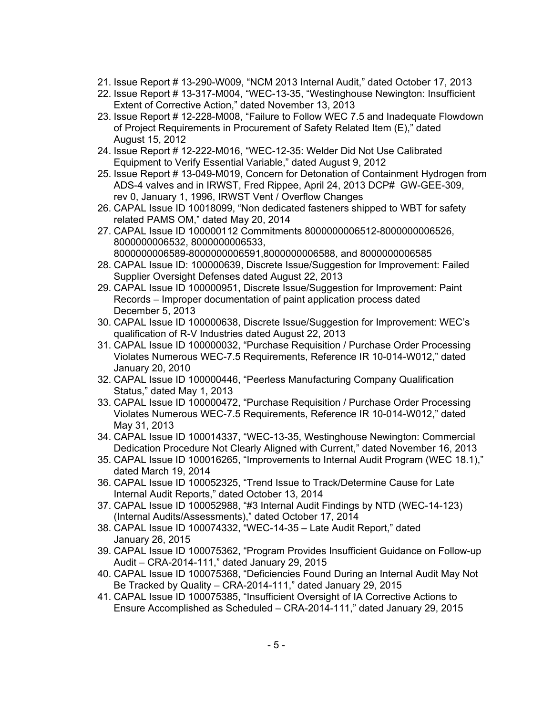- 21. Issue Report # 13-290-W009, "NCM 2013 Internal Audit," dated October 17, 2013
- 22. Issue Report # 13-317-M004, "WEC-13-35, "Westinghouse Newington: Insufficient Extent of Corrective Action," dated November 13, 2013
- 23. Issue Report # 12-228-M008, "Failure to Follow WEC 7.5 and Inadequate Flowdown of Project Requirements in Procurement of Safety Related Item (E)," dated August 15, 2012
- 24. Issue Report # 12-222-M016, "WEC-12-35: Welder Did Not Use Calibrated Equipment to Verify Essential Variable," dated August 9, 2012
- 25. Issue Report # 13-049-M019, Concern for Detonation of Containment Hydrogen from ADS-4 valves and in IRWST, Fred Rippee, April 24, 2013 DCP# GW-GEE-309, rev 0, January 1, 1996, IRWST Vent / Overflow Changes
- 26. CAPAL Issue ID 10018099, "Non dedicated fasteners shipped to WBT for safety related PAMS OM," dated May 20, 2014
- 27. CAPAL Issue ID 100000112 Commitments 8000000006512-8000000006526, 8000000006532, 8000000006533, 8000000006589-8000000006591,8000000006588, and 8000000006585
- 28. CAPAL Issue ID: 100000639, Discrete Issue/Suggestion for Improvement: Failed Supplier Oversight Defenses dated August 22, 2013
- 29. CAPAL Issue ID 100000951, Discrete Issue/Suggestion for Improvement: Paint Records – Improper documentation of paint application process dated December 5, 2013
- 30. CAPAL Issue ID 100000638, Discrete Issue/Suggestion for Improvement: WEC's qualification of R-V Industries dated August 22, 2013
- 31. CAPAL Issue ID 100000032, "Purchase Requisition / Purchase Order Processing Violates Numerous WEC-7.5 Requirements, Reference IR 10-014-W012," dated January 20, 2010
- 32. CAPAL Issue ID 100000446, "Peerless Manufacturing Company Qualification Status," dated May 1, 2013
- 33. CAPAL Issue ID 100000472, "Purchase Requisition / Purchase Order Processing Violates Numerous WEC-7.5 Requirements, Reference IR 10-014-W012," dated May 31, 2013
- 34. CAPAL Issue ID 100014337, "WEC-13-35, Westinghouse Newington: Commercial Dedication Procedure Not Clearly Aligned with Current," dated November 16, 2013
- 35. CAPAL Issue ID 100016265, "Improvements to Internal Audit Program (WEC 18.1)," dated March 19, 2014
- 36. CAPAL Issue ID 100052325, "Trend Issue to Track/Determine Cause for Late Internal Audit Reports," dated October 13, 2014
- 37. CAPAL Issue ID 100052988, "#3 Internal Audit Findings by NTD (WEC-14-123) (Internal Audits/Assessments)," dated October 17, 2014
- 38. CAPAL Issue ID 100074332, "WEC-14-35 Late Audit Report," dated January 26, 2015
- 39. CAPAL Issue ID 100075362, "Program Provides Insufficient Guidance on Follow-up Audit – CRA-2014-111," dated January 29, 2015
- 40. CAPAL Issue ID 100075368, "Deficiencies Found During an Internal Audit May Not Be Tracked by Quality – CRA-2014-111," dated January 29, 2015
- 41. CAPAL Issue ID 100075385, "Insufficient Oversight of IA Corrective Actions to Ensure Accomplished as Scheduled – CRA-2014-111," dated January 29, 2015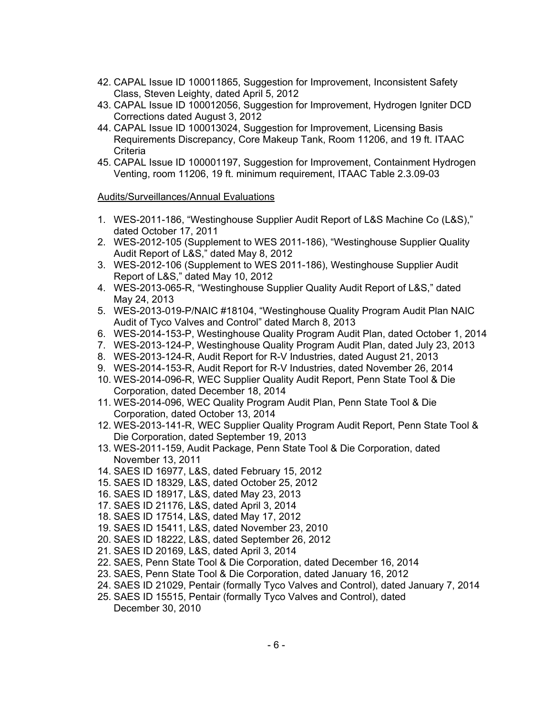- 42. CAPAL Issue ID 100011865, Suggestion for Improvement, Inconsistent Safety Class, Steven Leighty, dated April 5, 2012
- 43. CAPAL Issue ID 100012056, Suggestion for Improvement, Hydrogen Igniter DCD Corrections dated August 3, 2012
- 44. CAPAL Issue ID 100013024, Suggestion for Improvement, Licensing Basis Requirements Discrepancy, Core Makeup Tank, Room 11206, and 19 ft. ITAAC **Criteria**
- 45. CAPAL Issue ID 100001197, Suggestion for Improvement, Containment Hydrogen Venting, room 11206, 19 ft. minimum requirement, ITAAC Table 2.3.09-03

### Audits/Surveillances/Annual Evaluations

- 1. WES-2011-186, "Westinghouse Supplier Audit Report of L&S Machine Co (L&S)," dated October 17, 2011
- 2. WES-2012-105 (Supplement to WES 2011-186), "Westinghouse Supplier Quality Audit Report of L&S," dated May 8, 2012
- 3. WES-2012-106 (Supplement to WES 2011-186), Westinghouse Supplier Audit Report of L&S," dated May 10, 2012
- 4. WES-2013-065-R, "Westinghouse Supplier Quality Audit Report of L&S," dated May 24, 2013
- 5. WES-2013-019-P/NAIC #18104, "Westinghouse Quality Program Audit Plan NAIC Audit of Tyco Valves and Control" dated March 8, 2013
- 6. WES-2014-153-P, Westinghouse Quality Program Audit Plan, dated October 1, 2014
- 7. WES-2013-124-P, Westinghouse Quality Program Audit Plan, dated July 23, 2013
- 8. WES-2013-124-R, Audit Report for R-V Industries, dated August 21, 2013
- 9. WES-2014-153-R, Audit Report for R-V Industries, dated November 26, 2014
- 10. WES-2014-096-R, WEC Supplier Quality Audit Report, Penn State Tool & Die Corporation, dated December 18, 2014
- 11. WES-2014-096, WEC Quality Program Audit Plan, Penn State Tool & Die Corporation, dated October 13, 2014
- 12. WES-2013-141-R, WEC Supplier Quality Program Audit Report, Penn State Tool & Die Corporation, dated September 19, 2013
- 13. WES-2011-159, Audit Package, Penn State Tool & Die Corporation, dated November 13, 2011
- 14. SAES ID 16977, L&S, dated February 15, 2012
- 15. SAES ID 18329, L&S, dated October 25, 2012
- 16. SAES ID 18917, L&S, dated May 23, 2013
- 17. SAES ID 21176, L&S, dated April 3, 2014
- 18. SAES ID 17514, L&S, dated May 17, 2012
- 19. SAES ID 15411, L&S, dated November 23, 2010
- 20. SAES ID 18222, L&S, dated September 26, 2012
- 21. SAES ID 20169, L&S, dated April 3, 2014
- 22. SAES, Penn State Tool & Die Corporation, dated December 16, 2014
- 23. SAES, Penn State Tool & Die Corporation, dated January 16, 2012
- 24. SAES ID 21029, Pentair (formally Tyco Valves and Control), dated January 7, 2014
- 25. SAES ID 15515, Pentair (formally Tyco Valves and Control), dated December 30, 2010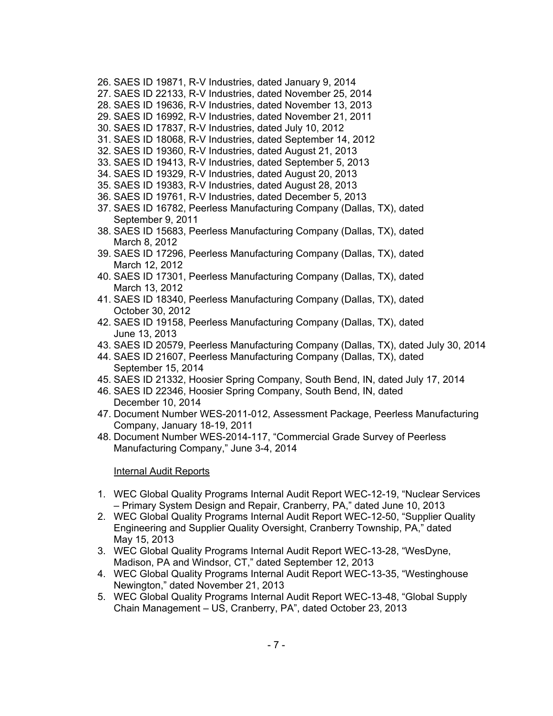- 26. SAES ID 19871, R-V Industries, dated January 9, 2014
- 27. SAES ID 22133, R-V Industries, dated November 25, 2014
- 28. SAES ID 19636, R-V Industries, dated November 13, 2013
- 29. SAES ID 16992, R-V Industries, dated November 21, 2011
- 30. SAES ID 17837, R-V Industries, dated July 10, 2012
- 31. SAES ID 18068, R-V Industries, dated September 14, 2012
- 32. SAES ID 19360, R-V Industries, dated August 21, 2013
- 33. SAES ID 19413, R-V Industries, dated September 5, 2013
- 34. SAES ID 19329, R-V Industries, dated August 20, 2013
- 35. SAES ID 19383, R-V Industries, dated August 28, 2013
- 36. SAES ID 19761, R-V Industries, dated December 5, 2013
- 37. SAES ID 16782, Peerless Manufacturing Company (Dallas, TX), dated September 9, 2011
- 38. SAES ID 15683, Peerless Manufacturing Company (Dallas, TX), dated March 8, 2012
- 39. SAES ID 17296, Peerless Manufacturing Company (Dallas, TX), dated March 12, 2012
- 40. SAES ID 17301, Peerless Manufacturing Company (Dallas, TX), dated March 13, 2012
- 41. SAES ID 18340, Peerless Manufacturing Company (Dallas, TX), dated October 30, 2012
- 42. SAES ID 19158, Peerless Manufacturing Company (Dallas, TX), dated June 13, 2013
- 43. SAES ID 20579, Peerless Manufacturing Company (Dallas, TX), dated July 30, 2014
- 44. SAES ID 21607, Peerless Manufacturing Company (Dallas, TX), dated September 15, 2014
- 45. SAES ID 21332, Hoosier Spring Company, South Bend, IN, dated July 17, 2014
- 46. SAES ID 22346, Hoosier Spring Company, South Bend, IN, dated December 10, 2014
- 47. Document Number WES-2011-012, Assessment Package, Peerless Manufacturing Company, January 18-19, 2011
- 48. Document Number WES-2014-117, "Commercial Grade Survey of Peerless Manufacturing Company," June 3-4, 2014

### Internal Audit Reports

- 1. WEC Global Quality Programs Internal Audit Report WEC-12-19, "Nuclear Services – Primary System Design and Repair, Cranberry, PA," dated June 10, 2013
- 2. WEC Global Quality Programs Internal Audit Report WEC-12-50, "Supplier Quality Engineering and Supplier Quality Oversight, Cranberry Township, PA," dated May 15, 2013
- 3. WEC Global Quality Programs Internal Audit Report WEC-13-28, "WesDyne, Madison, PA and Windsor, CT," dated September 12, 2013
- 4. WEC Global Quality Programs Internal Audit Report WEC-13-35, "Westinghouse Newington," dated November 21, 2013
- 5. WEC Global Quality Programs Internal Audit Report WEC-13-48, "Global Supply Chain Management – US, Cranberry, PA", dated October 23, 2013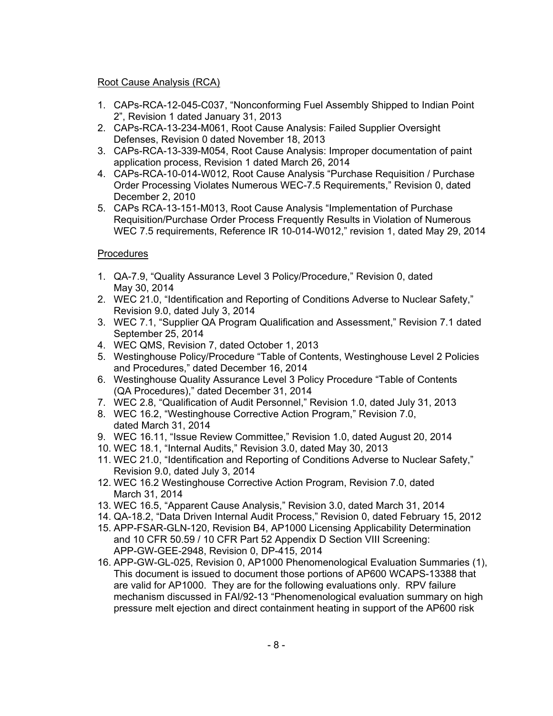# Root Cause Analysis (RCA)

- 1. CAPs-RCA-12-045-C037, "Nonconforming Fuel Assembly Shipped to Indian Point 2", Revision 1 dated January 31, 2013
- 2. CAPs-RCA-13-234-M061, Root Cause Analysis: Failed Supplier Oversight Defenses, Revision 0 dated November 18, 2013
- 3. CAPs-RCA-13-339-M054, Root Cause Analysis: Improper documentation of paint application process, Revision 1 dated March 26, 2014
- 4. CAPs-RCA-10-014-W012, Root Cause Analysis "Purchase Requisition / Purchase Order Processing Violates Numerous WEC-7.5 Requirements," Revision 0, dated December 2, 2010
- 5. CAPs RCA-13-151-M013, Root Cause Analysis "Implementation of Purchase Requisition/Purchase Order Process Frequently Results in Violation of Numerous WEC 7.5 requirements, Reference IR 10-014-W012," revision 1, dated May 29, 2014

# **Procedures**

- 1. QA-7.9, "Quality Assurance Level 3 Policy/Procedure," Revision 0, dated May 30, 2014
- 2. WEC 21.0, "Identification and Reporting of Conditions Adverse to Nuclear Safety," Revision 9.0, dated July 3, 2014
- 3. WEC 7.1, "Supplier QA Program Qualification and Assessment," Revision 7.1 dated September 25, 2014
- 4. WEC QMS, Revision 7, dated October 1, 2013
- 5. Westinghouse Policy/Procedure "Table of Contents, Westinghouse Level 2 Policies and Procedures," dated December 16, 2014
- 6. Westinghouse Quality Assurance Level 3 Policy Procedure "Table of Contents (QA Procedures)," dated December 31, 2014
- 7. WEC 2.8, "Qualification of Audit Personnel," Revision 1.0, dated July 31, 2013
- 8. WEC 16.2, "Westinghouse Corrective Action Program," Revision 7.0, dated March 31, 2014
- 9. WEC 16.11, "Issue Review Committee," Revision 1.0, dated August 20, 2014
- 10. WEC 18.1, "Internal Audits," Revision 3.0, dated May 30, 2013
- 11. WEC 21.0, "Identification and Reporting of Conditions Adverse to Nuclear Safety," Revision 9.0, dated July 3, 2014
- 12. WEC 16.2 Westinghouse Corrective Action Program, Revision 7.0, dated March 31, 2014
- 13. WEC 16.5, "Apparent Cause Analysis," Revision 3.0, dated March 31, 2014
- 14. QA-18.2, "Data Driven Internal Audit Process," Revision 0, dated February 15, 2012
- 15. APP-FSAR-GLN-120, Revision B4, AP1000 Licensing Applicability Determination and 10 CFR 50.59 / 10 CFR Part 52 Appendix D Section VIII Screening: APP-GW-GEE-2948, Revision 0, DP-415, 2014
- 16. APP-GW-GL-025, Revision 0, AP1000 Phenomenological Evaluation Summaries (1), This document is issued to document those portions of AP600 WCAPS-13388 that are valid for AP1000. They are for the following evaluations only. RPV failure mechanism discussed in FAI/92-13 "Phenomenological evaluation summary on high pressure melt ejection and direct containment heating in support of the AP600 risk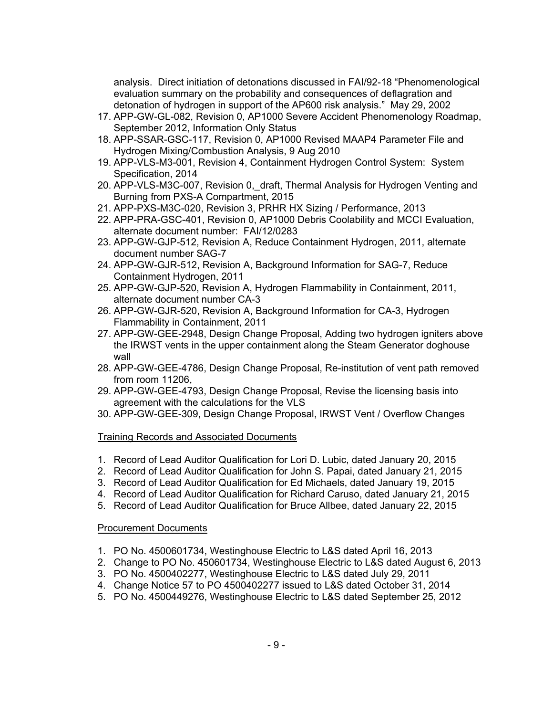analysis. Direct initiation of detonations discussed in FAI/92-18 "Phenomenological evaluation summary on the probability and consequences of deflagration and detonation of hydrogen in support of the AP600 risk analysis." May 29, 2002

- 17. APP-GW-GL-082, Revision 0, AP1000 Severe Accident Phenomenology Roadmap, September 2012, Information Only Status
- 18. APP-SSAR-GSC-117, Revision 0, AP1000 Revised MAAP4 Parameter File and Hydrogen Mixing/Combustion Analysis, 9 Aug 2010
- 19. APP-VLS-M3-001, Revision 4, Containment Hydrogen Control System: System Specification, 2014
- 20. APP-VLS-M3C-007, Revision 0, draft, Thermal Analysis for Hydrogen Venting and Burning from PXS-A Compartment, 2015
- 21. APP-PXS-M3C-020, Revision 3, PRHR HX Sizing / Performance, 2013
- 22. APP-PRA-GSC-401, Revision 0, AP1000 Debris Coolability and MCCI Evaluation, alternate document number: FAI/12/0283
- 23. APP-GW-GJP-512, Revision A, Reduce Containment Hydrogen, 2011, alternate document number SAG-7
- 24. APP-GW-GJR-512, Revision A, Background Information for SAG-7, Reduce Containment Hydrogen, 2011
- 25. APP-GW-GJP-520, Revision A, Hydrogen Flammability in Containment, 2011, alternate document number CA-3
- 26. APP-GW-GJR-520, Revision A, Background Information for CA-3, Hydrogen Flammability in Containment, 2011
- 27. APP-GW-GEE-2948, Design Change Proposal, Adding two hydrogen igniters above the IRWST vents in the upper containment along the Steam Generator doghouse wall
- 28. APP-GW-GEE-4786, Design Change Proposal, Re-institution of vent path removed from room 11206,
- 29. APP-GW-GEE-4793, Design Change Proposal, Revise the licensing basis into agreement with the calculations for the VLS
- 30. APP-GW-GEE-309, Design Change Proposal, IRWST Vent / Overflow Changes

### Training Records and Associated Documents

- 1. Record of Lead Auditor Qualification for Lori D. Lubic, dated January 20, 2015
- 2. Record of Lead Auditor Qualification for John S. Papai, dated January 21, 2015
- 3. Record of Lead Auditor Qualification for Ed Michaels, dated January 19, 2015
- 4. Record of Lead Auditor Qualification for Richard Caruso, dated January 21, 2015
- 5. Record of Lead Auditor Qualification for Bruce Allbee, dated January 22, 2015

### Procurement Documents

- 1. PO No. 4500601734, Westinghouse Electric to L&S dated April 16, 2013
- 2. Change to PO No. 450601734, Westinghouse Electric to L&S dated August 6, 2013
- 3. PO No. 4500402277, Westinghouse Electric to L&S dated July 29, 2011
- 4. Change Notice 57 to PO 4500402277 issued to L&S dated October 31, 2014
- 5. PO No. 4500449276, Westinghouse Electric to L&S dated September 25, 2012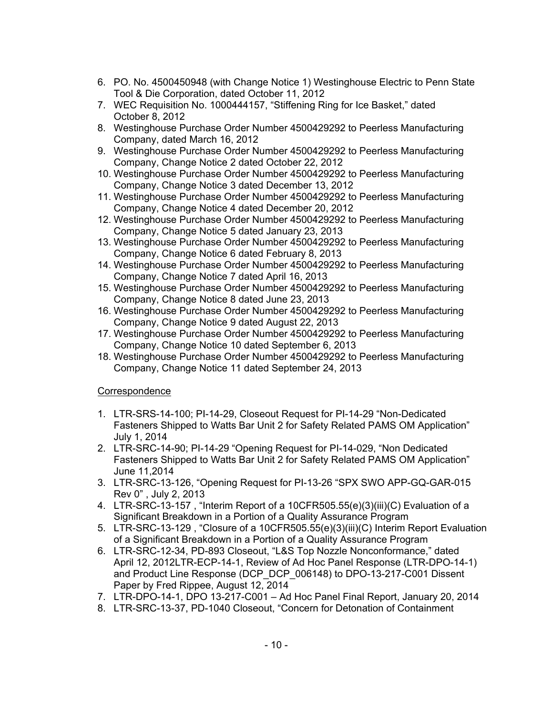- 6. PO. No. 4500450948 (with Change Notice 1) Westinghouse Electric to Penn State Tool & Die Corporation, dated October 11, 2012
- 7. WEC Requisition No. 1000444157, "Stiffening Ring for Ice Basket," dated October 8, 2012
- 8. Westinghouse Purchase Order Number 4500429292 to Peerless Manufacturing Company, dated March 16, 2012
- 9. Westinghouse Purchase Order Number 4500429292 to Peerless Manufacturing Company, Change Notice 2 dated October 22, 2012
- 10. Westinghouse Purchase Order Number 4500429292 to Peerless Manufacturing Company, Change Notice 3 dated December 13, 2012
- 11. Westinghouse Purchase Order Number 4500429292 to Peerless Manufacturing Company, Change Notice 4 dated December 20, 2012
- 12. Westinghouse Purchase Order Number 4500429292 to Peerless Manufacturing Company, Change Notice 5 dated January 23, 2013
- 13. Westinghouse Purchase Order Number 4500429292 to Peerless Manufacturing Company, Change Notice 6 dated February 8, 2013
- 14. Westinghouse Purchase Order Number 4500429292 to Peerless Manufacturing Company, Change Notice 7 dated April 16, 2013
- 15. Westinghouse Purchase Order Number 4500429292 to Peerless Manufacturing Company, Change Notice 8 dated June 23, 2013
- 16. Westinghouse Purchase Order Number 4500429292 to Peerless Manufacturing Company, Change Notice 9 dated August 22, 2013
- 17. Westinghouse Purchase Order Number 4500429292 to Peerless Manufacturing Company, Change Notice 10 dated September 6, 2013
- 18. Westinghouse Purchase Order Number 4500429292 to Peerless Manufacturing Company, Change Notice 11 dated September 24, 2013

# **Correspondence**

- 1. LTR-SRS-14-100; PI-14-29, Closeout Request for PI-14-29 "Non-Dedicated Fasteners Shipped to Watts Bar Unit 2 for Safety Related PAMS OM Application" July 1, 2014
- 2. LTR-SRC-14-90; PI-14-29 "Opening Request for PI-14-029, "Non Dedicated Fasteners Shipped to Watts Bar Unit 2 for Safety Related PAMS OM Application" June 11,2014
- 3. LTR-SRC-13-126, "Opening Request for PI-13-26 "SPX SWO APP-GQ-GAR-015 Rev 0" , July 2, 2013
- 4. LTR-SRC-13-157 , "Interim Report of a 10CFR505.55(e)(3)(iii)(C) Evaluation of a Significant Breakdown in a Portion of a Quality Assurance Program
- 5. LTR-SRC-13-129 , "Closure of a 10CFR505.55(e)(3)(iii)(C) Interim Report Evaluation of a Significant Breakdown in a Portion of a Quality Assurance Program
- 6. LTR-SRC-12-34, PD-893 Closeout, "L&S Top Nozzle Nonconformance," dated April 12, 2012LTR-ECP-14-1, Review of Ad Hoc Panel Response (LTR-DPO-14-1) and Product Line Response (DCP\_DCP\_006148) to DPO-13-217-C001 Dissent Paper by Fred Rippee, August 12, 2014
- 7. LTR-DPO-14-1, DPO 13-217-C001 Ad Hoc Panel Final Report, January 20, 2014
- 8. LTR-SRC-13-37, PD-1040 Closeout, "Concern for Detonation of Containment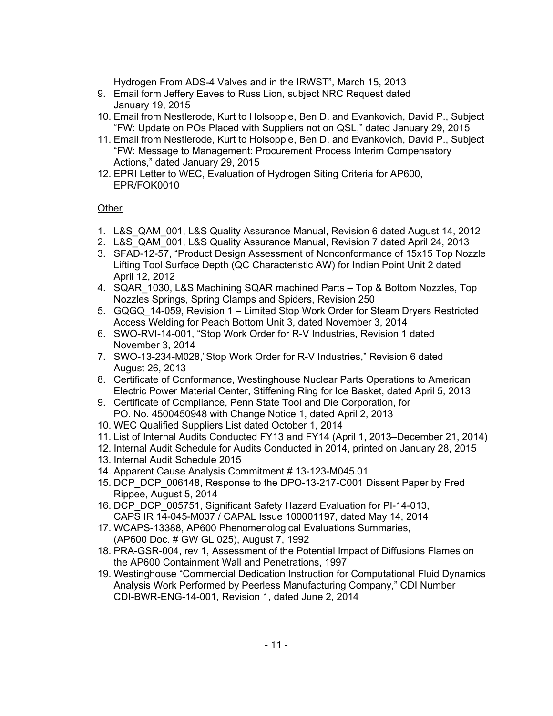Hydrogen From ADS-4 Valves and in the IRWST", March 15, 2013

- 9. Email form Jeffery Eaves to Russ Lion, subject NRC Request dated January 19, 2015
- 10. Email from Nestlerode, Kurt to Holsopple, Ben D. and Evankovich, David P., Subject "FW: Update on POs Placed with Suppliers not on QSL," dated January 29, 2015
- 11. Email from Nestlerode, Kurt to Holsopple, Ben D. and Evankovich, David P., Subject "FW: Message to Management: Procurement Process Interim Compensatory Actions," dated January 29, 2015
- 12. EPRI Letter to WEC, Evaluation of Hydrogen Siting Criteria for AP600, EPR/FOK0010

# **Other**

- 1. L&S\_QAM\_001, L&S Quality Assurance Manual, Revision 6 dated August 14, 2012
- 2. L&S\_QAM\_001, L&S Quality Assurance Manual, Revision 7 dated April 24, 2013
- 3. SFAD-12-57, "Product Design Assessment of Nonconformance of 15x15 Top Nozzle Lifting Tool Surface Depth (QC Characteristic AW) for Indian Point Unit 2 dated April 12, 2012
- 4. SQAR 1030, L&S Machining SQAR machined Parts Top & Bottom Nozzles, Top Nozzles Springs, Spring Clamps and Spiders, Revision 250
- 5. GQGQ\_14-059, Revision 1 Limited Stop Work Order for Steam Dryers Restricted Access Welding for Peach Bottom Unit 3, dated November 3, 2014
- 6. SWO-RVI-14-001, "Stop Work Order for R-V Industries, Revision 1 dated November 3, 2014
- 7. SWO-13-234-M028,"Stop Work Order for R-V Industries," Revision 6 dated August 26, 2013
- 8. Certificate of Conformance, Westinghouse Nuclear Parts Operations to American Electric Power Material Center, Stiffening Ring for Ice Basket, dated April 5, 2013
- 9. Certificate of Compliance, Penn State Tool and Die Corporation, for PO. No. 4500450948 with Change Notice 1, dated April 2, 2013
- 10. WEC Qualified Suppliers List dated October 1, 2014
- 11. List of Internal Audits Conducted FY13 and FY14 (April 1, 2013–December 21, 2014)
- 12. Internal Audit Schedule for Audits Conducted in 2014, printed on January 28, 2015
- 13. Internal Audit Schedule 2015
- 14. Apparent Cause Analysis Commitment # 13-123-M045.01
- 15. DCP\_DCP\_006148, Response to the DPO-13-217-C001 Dissent Paper by Fred Rippee, August 5, 2014
- 16. DCP\_DCP\_005751, Significant Safety Hazard Evaluation for PI-14-013, CAPS IR 14-045-M037 / CAPAL Issue 100001197, dated May 14, 2014
- 17. WCAPS-13388, AP600 Phenomenological Evaluations Summaries, (AP600 Doc. # GW GL 025), August 7, 1992
- 18. PRA-GSR-004, rev 1, Assessment of the Potential Impact of Diffusions Flames on the AP600 Containment Wall and Penetrations, 1997
- 19. Westinghouse "Commercial Dedication Instruction for Computational Fluid Dynamics Analysis Work Performed by Peerless Manufacturing Company," CDI Number CDI-BWR-ENG-14-001, Revision 1, dated June 2, 2014